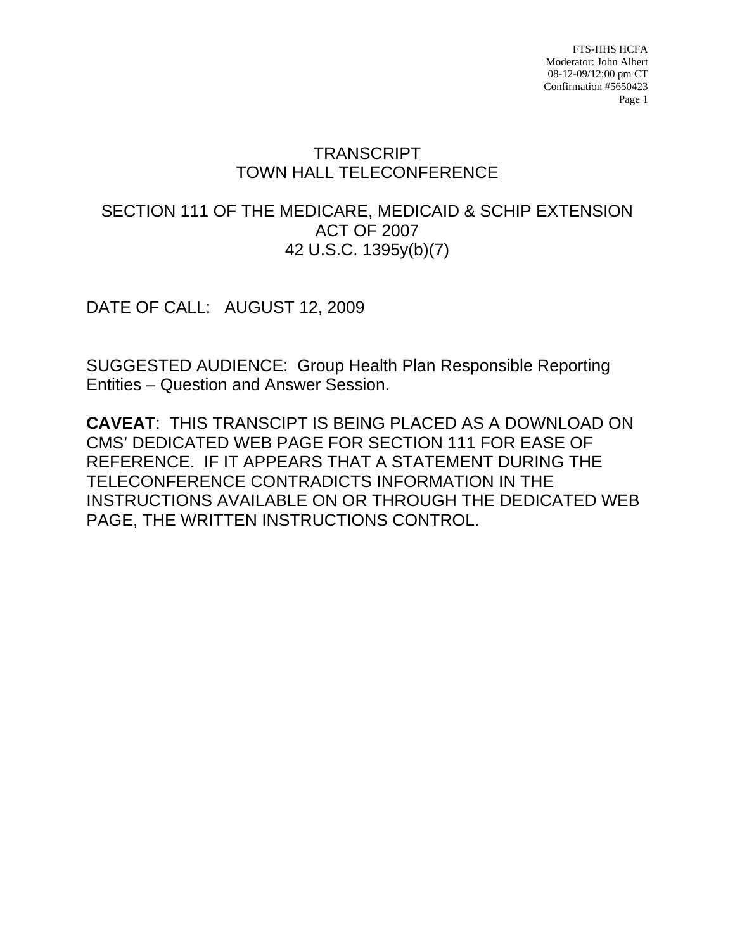# **TRANSCRIPT** TOWN HALL TELECONFERENCE

## SECTION 111 OF THE MEDICARE, MEDICAID & SCHIP EXTENSION ACT OF 2007 42 U.S.C. 1395y(b)(7)

DATE OF CALL: AUGUST 12, 2009

SUGGESTED AUDIENCE: Group Health Plan Responsible Reporting Entities – Question and Answer Session.

**CAVEAT**: THIS TRANSCIPT IS BEING PLACED AS A DOWNLOAD ON CMS' DEDICATED WEB PAGE FOR SECTION 111 FOR EASE OF REFERENCE. IF IT APPEARS THAT A STATEMENT DURING THE TELECONFERENCE CONTRADICTS INFORMATION IN THE INSTRUCTIONS AVAILABLE ON OR THROUGH THE DEDICATED WEB PAGE, THE WRITTEN INSTRUCTIONS CONTROL.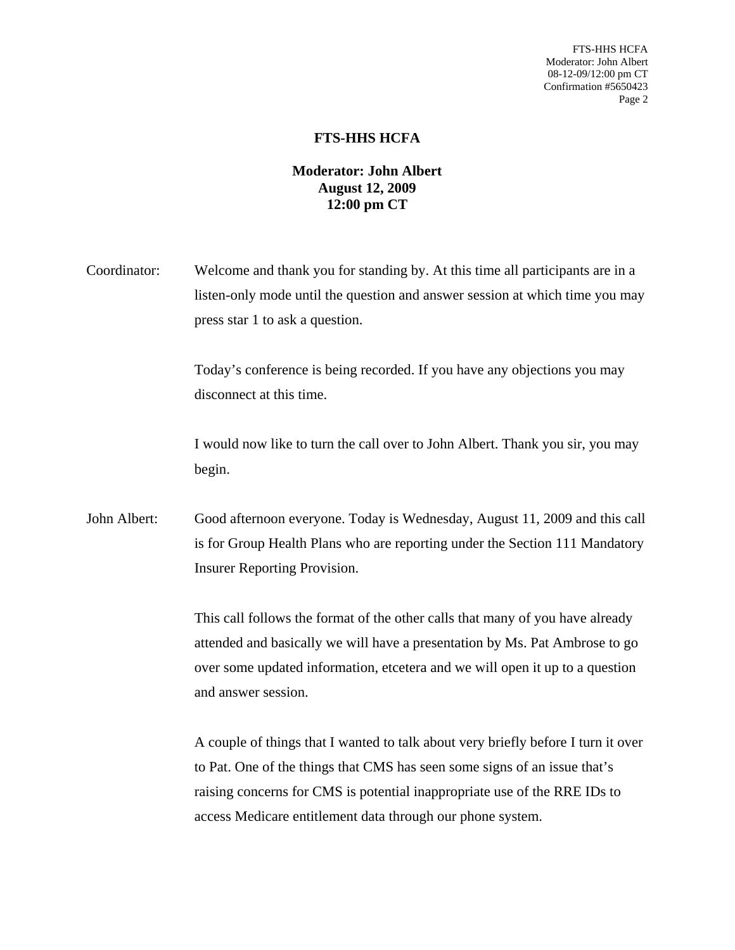#### **FTS-HHS HCFA**

### **Moderator: John Albert August 12, 2009 12:00 pm CT**

Coordinator: Welcome and thank you for standing by. At this time all participants are in a listen-only mode until the question and answer session at which time you may press star 1 to ask a question.

> Today's conference is being recorded. If you have any objections you may disconnect at this time.

I would now like to turn the call over to John Albert. Thank you sir, you may begin.

John Albert: Good afternoon everyone. Today is Wednesday, August 11, 2009 and this call is for Group Health Plans who are reporting under the Section 111 Mandatory Insurer Reporting Provision.

> This call follows the format of the other calls that many of you have already attended and basically we will have a presentation by Ms. Pat Ambrose to go over some updated information, etcetera and we will open it up to a question and answer session.

A couple of things that I wanted to talk about very briefly before I turn it over to Pat. One of the things that CMS has seen some signs of an issue that's raising concerns for CMS is potential inappropriate use of the RRE IDs to access Medicare entitlement data through our phone system.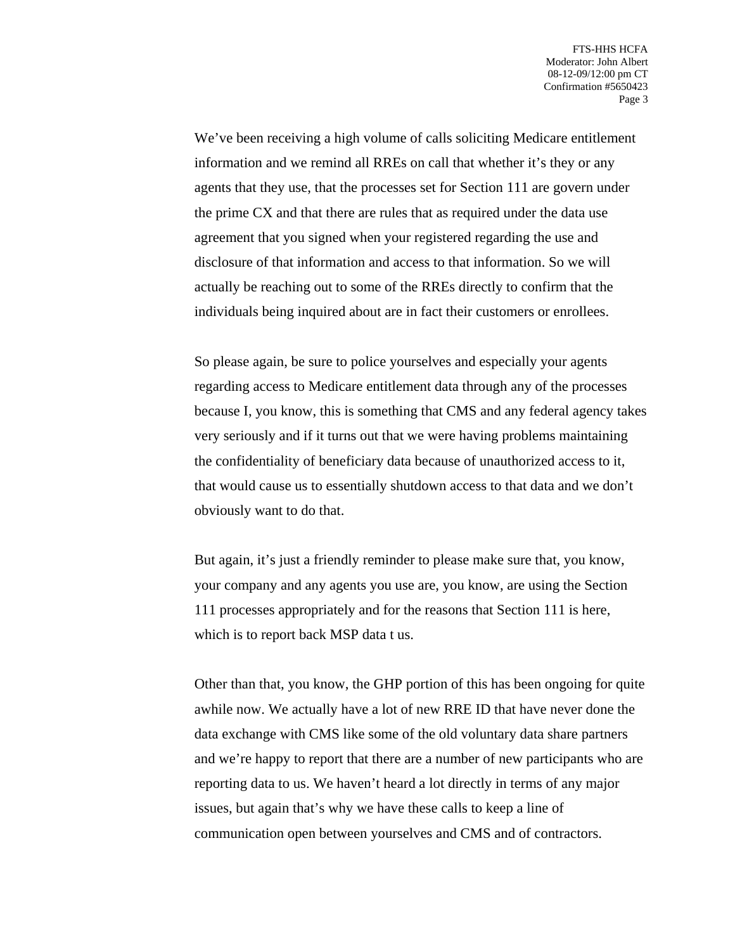We've been receiving a high volume of calls soliciting Medicare entitlement information and we remind all RREs on call that whether it's they or any agents that they use, that the processes set for Section 111 are govern under the prime CX and that there are rules that as required under the data use agreement that you signed when your registered regarding the use and disclosure of that information and access to that information. So we will actually be reaching out to some of the RREs directly to confirm that the individuals being inquired about are in fact their customers or enrollees.

So please again, be sure to police yourselves and especially your agents regarding access to Medicare entitlement data through any of the processes because I, you know, this is something that CMS and any federal agency takes very seriously and if it turns out that we were having problems maintaining the confidentiality of beneficiary data because of unauthorized access to it, that would cause us to essentially shutdown access to that data and we don't obviously want to do that.

But again, it's just a friendly reminder to please make sure that, you know, your company and any agents you use are, you know, are using the Section 111 processes appropriately and for the reasons that Section 111 is here, which is to report back MSP data t us.

Other than that, you know, the GHP portion of this has been ongoing for quite awhile now. We actually have a lot of new RRE ID that have never done the data exchange with CMS like some of the old voluntary data share partners and we're happy to report that there are a number of new participants who are reporting data to us. We haven't heard a lot directly in terms of any major issues, but again that's why we have these calls to keep a line of communication open between yourselves and CMS and of contractors.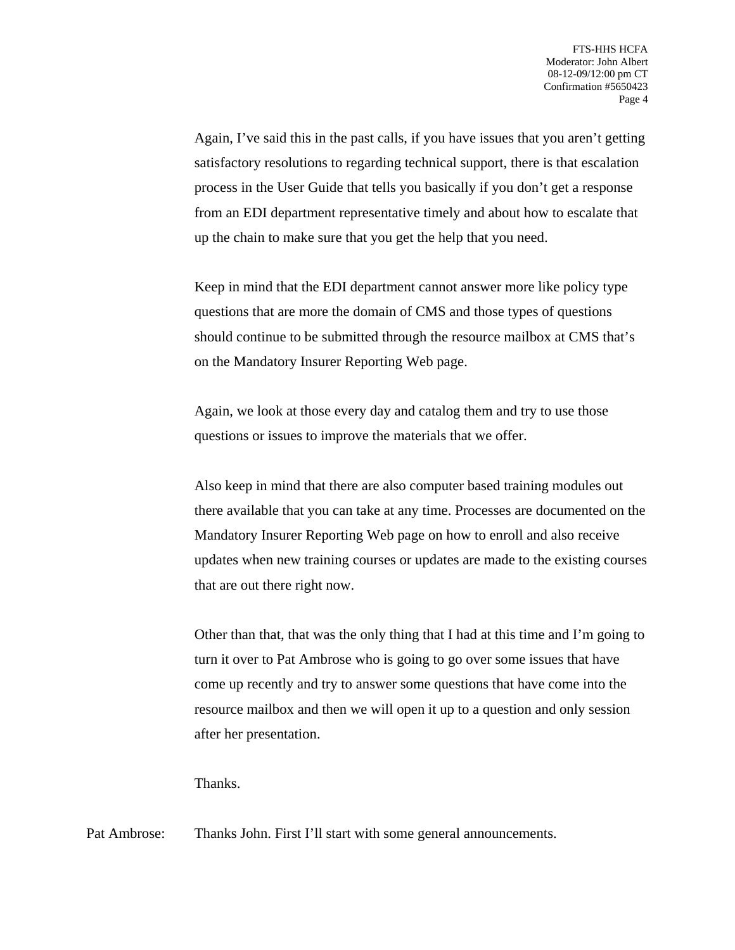Again, I've said this in the past calls, if you have issues that you aren't getting satisfactory resolutions to regarding technical support, there is that escalation process in the User Guide that tells you basically if you don't get a response from an EDI department representative timely and about how to escalate that up the chain to make sure that you get the help that you need.

Keep in mind that the EDI department cannot answer more like policy type questions that are more the domain of CMS and those types of questions should continue to be submitted through the resource mailbox at CMS that's on the Mandatory Insurer Reporting Web page.

Again, we look at those every day and catalog them and try to use those questions or issues to improve the materials that we offer.

Also keep in mind that there are also computer based training modules out there available that you can take at any time. Processes are documented on the Mandatory Insurer Reporting Web page on how to enroll and also receive updates when new training courses or updates are made to the existing courses that are out there right now.

Other than that, that was the only thing that I had at this time and I'm going to turn it over to Pat Ambrose who is going to go over some issues that have come up recently and try to answer some questions that have come into the resource mailbox and then we will open it up to a question and only session after her presentation.

Thanks.

Pat Ambrose: Thanks John. First I'll start with some general announcements.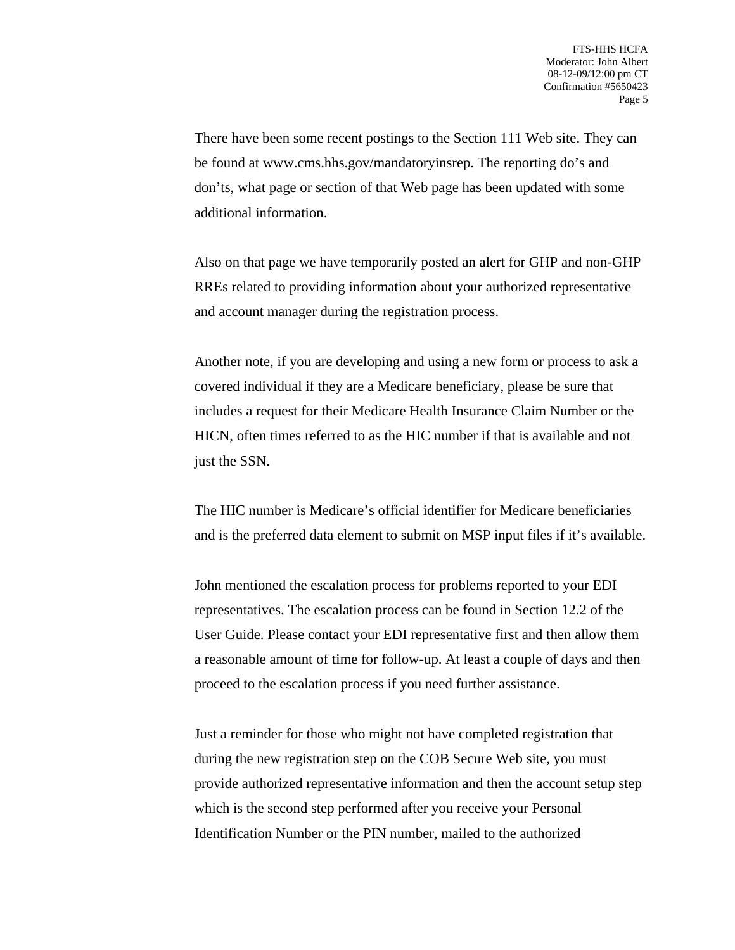There have been some recent postings to the Section 111 Web site. They can be found at www.cms.hhs.gov/mandatoryinsrep. The reporting do's and don'ts, what page or section of that Web page has been updated with some additional information.

Also on that page we have temporarily posted an alert for GHP and non-GHP RREs related to providing information about your authorized representative and account manager during the registration process.

Another note, if you are developing and using a new form or process to ask a covered individual if they are a Medicare beneficiary, please be sure that includes a request for their Medicare Health Insurance Claim Number or the HICN, often times referred to as the HIC number if that is available and not just the SSN.

The HIC number is Medicare's official identifier for Medicare beneficiaries and is the preferred data element to submit on MSP input files if it's available.

John mentioned the escalation process for problems reported to your EDI representatives. The escalation process can be found in Section 12.2 of the User Guide. Please contact your EDI representative first and then allow them a reasonable amount of time for follow-up. At least a couple of days and then proceed to the escalation process if you need further assistance.

Just a reminder for those who might not have completed registration that during the new registration step on the COB Secure Web site, you must provide authorized representative information and then the account setup step which is the second step performed after you receive your Personal Identification Number or the PIN number, mailed to the authorized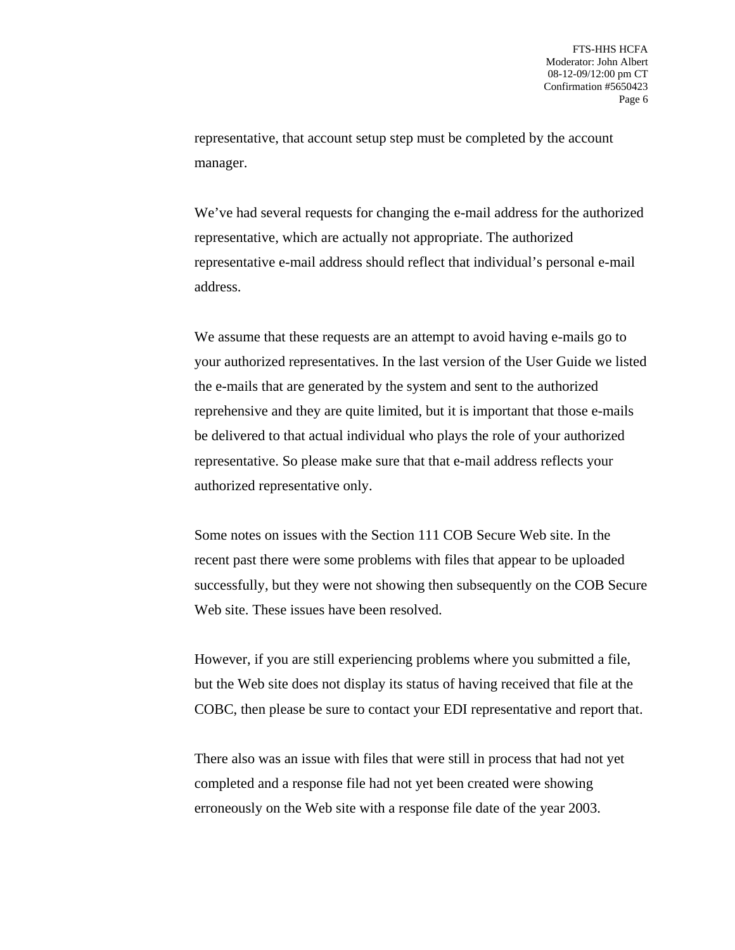representative, that account setup step must be completed by the account manager.

We've had several requests for changing the e-mail address for the authorized representative, which are actually not appropriate. The authorized representative e-mail address should reflect that individual's personal e-mail address.

We assume that these requests are an attempt to avoid having e-mails go to your authorized representatives. In the last version of the User Guide we listed the e-mails that are generated by the system and sent to the authorized reprehensive and they are quite limited, but it is important that those e-mails be delivered to that actual individual who plays the role of your authorized representative. So please make sure that that e-mail address reflects your authorized representative only.

Some notes on issues with the Section 111 COB Secure Web site. In the recent past there were some problems with files that appear to be uploaded successfully, but they were not showing then subsequently on the COB Secure Web site. These issues have been resolved.

However, if you are still experiencing problems where you submitted a file, but the Web site does not display its status of having received that file at the COBC, then please be sure to contact your EDI representative and report that.

There also was an issue with files that were still in process that had not yet completed and a response file had not yet been created were showing erroneously on the Web site with a response file date of the year 2003.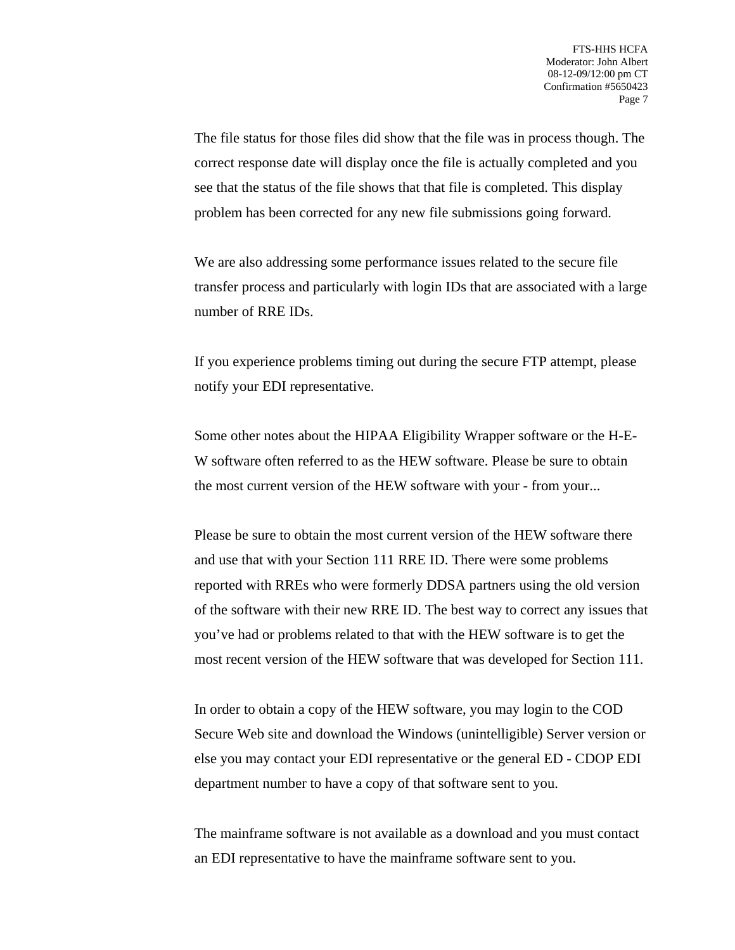The file status for those files did show that the file was in process though. The correct response date will display once the file is actually completed and you see that the status of the file shows that that file is completed. This display problem has been corrected for any new file submissions going forward.

We are also addressing some performance issues related to the secure file transfer process and particularly with login IDs that are associated with a large number of RRE IDs.

If you experience problems timing out during the secure FTP attempt, please notify your EDI representative.

Some other notes about the HIPAA Eligibility Wrapper software or the H-E-W software often referred to as the HEW software. Please be sure to obtain the most current version of the HEW software with your - from your...

Please be sure to obtain the most current version of the HEW software there and use that with your Section 111 RRE ID. There were some problems reported with RREs who were formerly DDSA partners using the old version of the software with their new RRE ID. The best way to correct any issues that you've had or problems related to that with the HEW software is to get the most recent version of the HEW software that was developed for Section 111.

In order to obtain a copy of the HEW software, you may login to the COD Secure Web site and download the Windows (unintelligible) Server version or else you may contact your EDI representative or the general ED - CDOP EDI department number to have a copy of that software sent to you.

The mainframe software is not available as a download and you must contact an EDI representative to have the mainframe software sent to you.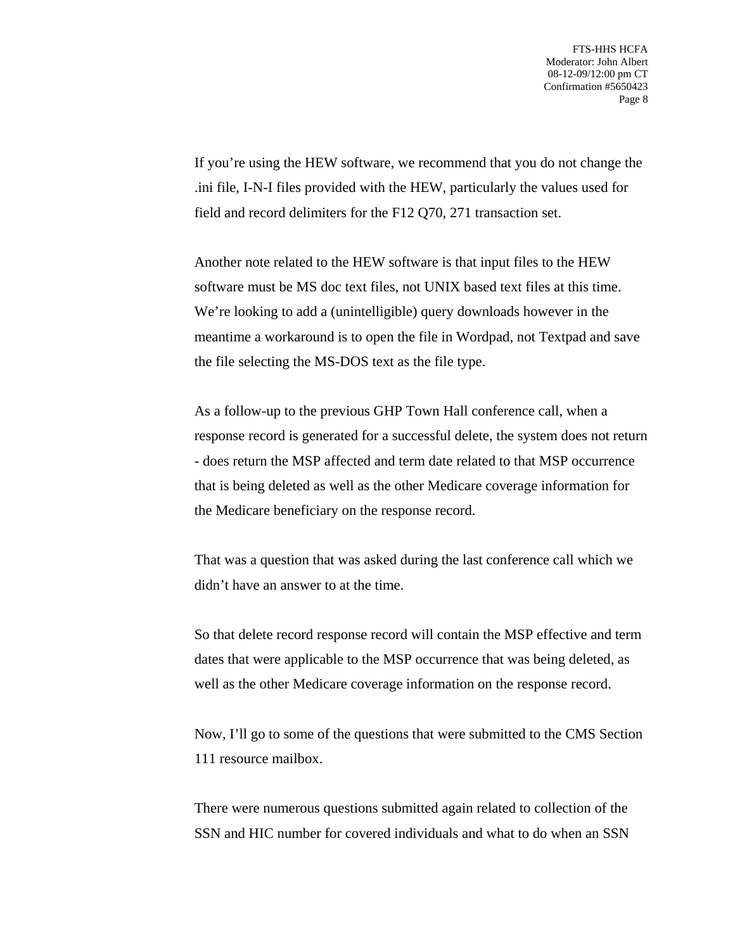If you're using the HEW software, we recommend that you do not change the .ini file, I-N-I files provided with the HEW, particularly the values used for field and record delimiters for the F12 Q70, 271 transaction set.

Another note related to the HEW software is that input files to the HEW software must be MS doc text files, not UNIX based text files at this time. We're looking to add a (unintelligible) query downloads however in the meantime a workaround is to open the file in Wordpad, not Textpad and save the file selecting the MS-DOS text as the file type.

As a follow-up to the previous GHP Town Hall conference call, when a response record is generated for a successful delete, the system does not return - does return the MSP affected and term date related to that MSP occurrence that is being deleted as well as the other Medicare coverage information for the Medicare beneficiary on the response record.

That was a question that was asked during the last conference call which we didn't have an answer to at the time.

So that delete record response record will contain the MSP effective and term dates that were applicable to the MSP occurrence that was being deleted, as well as the other Medicare coverage information on the response record.

Now, I'll go to some of the questions that were submitted to the CMS Section 111 resource mailbox.

There were numerous questions submitted again related to collection of the SSN and HIC number for covered individuals and what to do when an SSN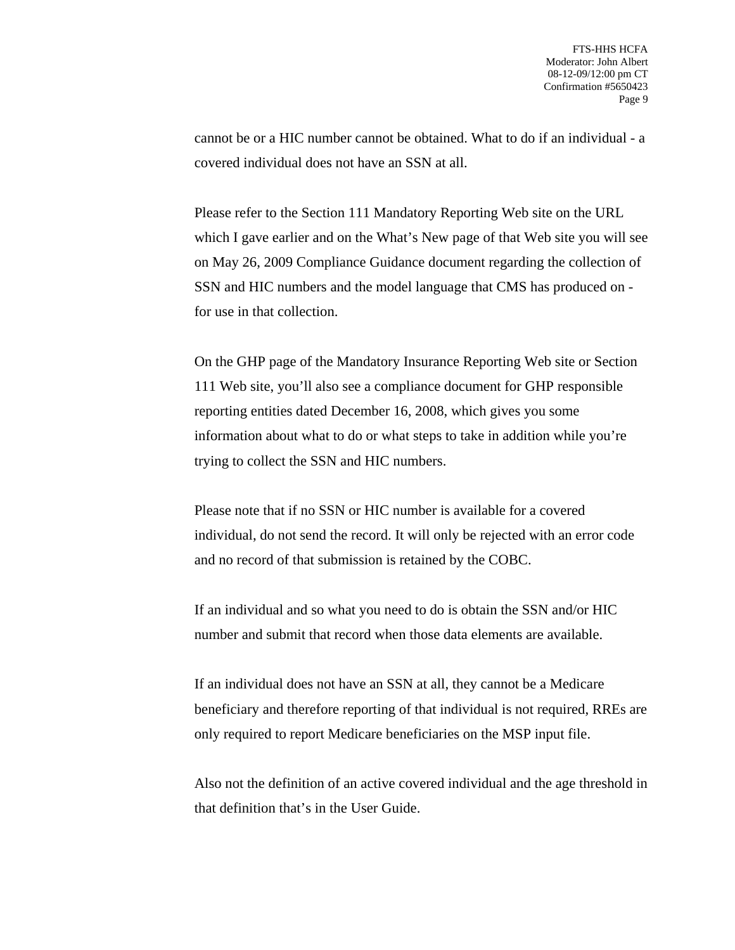cannot be or a HIC number cannot be obtained. What to do if an individual - a covered individual does not have an SSN at all.

Please refer to the Section 111 Mandatory Reporting Web site on the URL which I gave earlier and on the What's New page of that Web site you will see on May 26, 2009 Compliance Guidance document regarding the collection of SSN and HIC numbers and the model language that CMS has produced on for use in that collection.

On the GHP page of the Mandatory Insurance Reporting Web site or Section 111 Web site, you'll also see a compliance document for GHP responsible reporting entities dated December 16, 2008, which gives you some information about what to do or what steps to take in addition while you're trying to collect the SSN and HIC numbers.

Please note that if no SSN or HIC number is available for a covered individual, do not send the record. It will only be rejected with an error code and no record of that submission is retained by the COBC.

If an individual and so what you need to do is obtain the SSN and/or HIC number and submit that record when those data elements are available.

If an individual does not have an SSN at all, they cannot be a Medicare beneficiary and therefore reporting of that individual is not required, RREs are only required to report Medicare beneficiaries on the MSP input file.

Also not the definition of an active covered individual and the age threshold in that definition that's in the User Guide.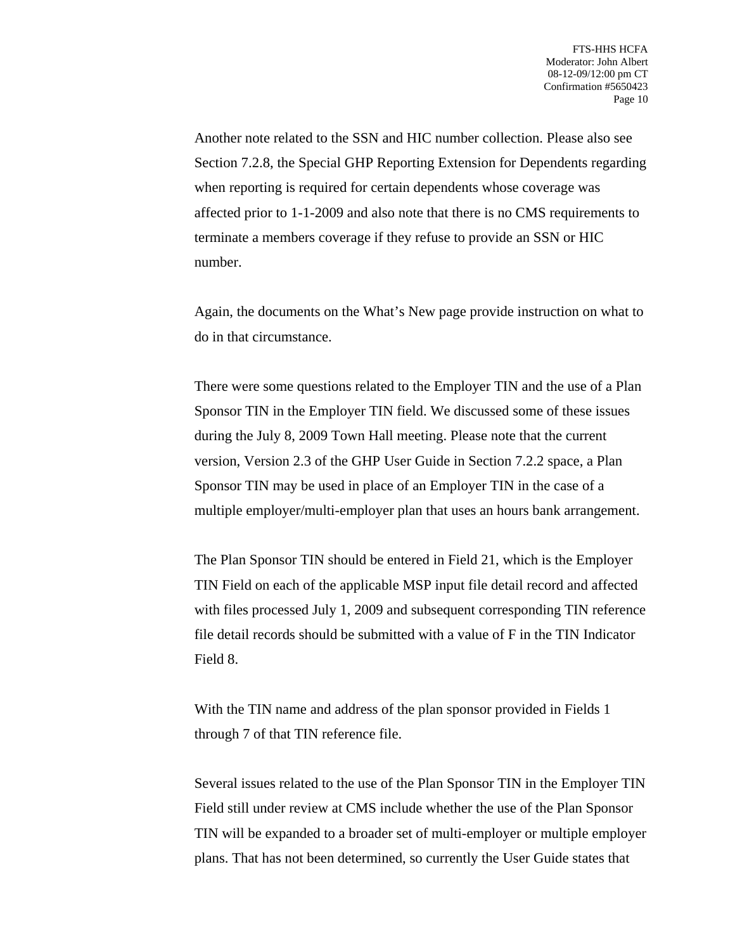Another note related to the SSN and HIC number collection. Please also see Section 7.2.8, the Special GHP Reporting Extension for Dependents regarding when reporting is required for certain dependents whose coverage was affected prior to 1-1-2009 and also note that there is no CMS requirements to terminate a members coverage if they refuse to provide an SSN or HIC number.

Again, the documents on the What's New page provide instruction on what to do in that circumstance.

There were some questions related to the Employer TIN and the use of a Plan Sponsor TIN in the Employer TIN field. We discussed some of these issues during the July 8, 2009 Town Hall meeting. Please note that the current version, Version 2.3 of the GHP User Guide in Section 7.2.2 space, a Plan Sponsor TIN may be used in place of an Employer TIN in the case of a multiple employer/multi-employer plan that uses an hours bank arrangement.

The Plan Sponsor TIN should be entered in Field 21, which is the Employer TIN Field on each of the applicable MSP input file detail record and affected with files processed July 1, 2009 and subsequent corresponding TIN reference file detail records should be submitted with a value of F in the TIN Indicator Field 8.

With the TIN name and address of the plan sponsor provided in Fields 1 through 7 of that TIN reference file.

Several issues related to the use of the Plan Sponsor TIN in the Employer TIN Field still under review at CMS include whether the use of the Plan Sponsor TIN will be expanded to a broader set of multi-employer or multiple employer plans. That has not been determined, so currently the User Guide states that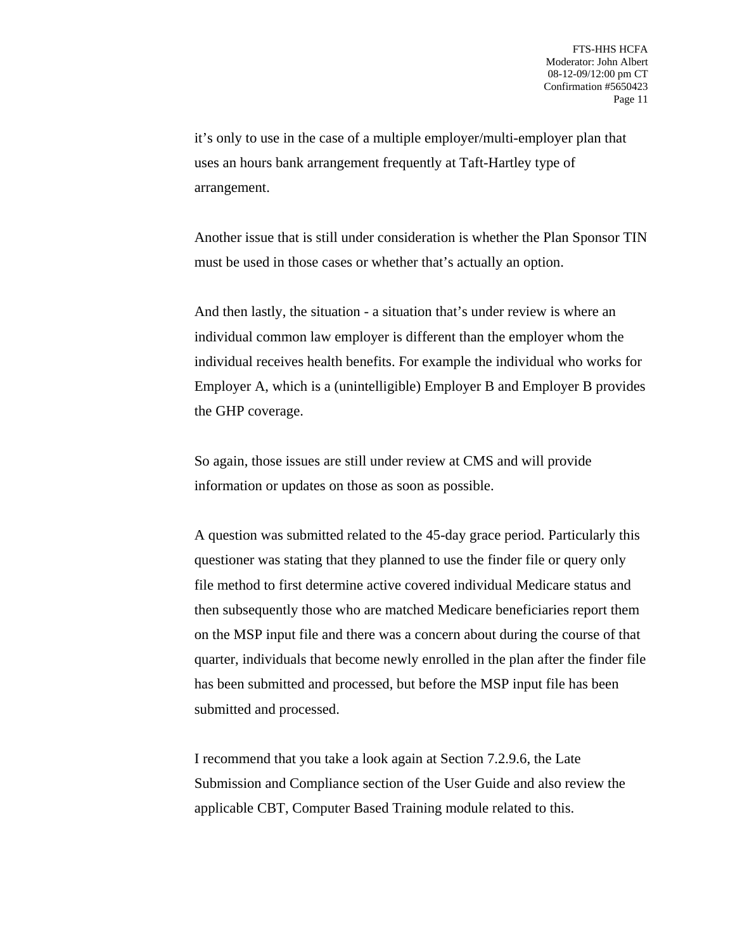it's only to use in the case of a multiple employer/multi-employer plan that uses an hours bank arrangement frequently at Taft-Hartley type of arrangement.

Another issue that is still under consideration is whether the Plan Sponsor TIN must be used in those cases or whether that's actually an option.

And then lastly, the situation - a situation that's under review is where an individual common law employer is different than the employer whom the individual receives health benefits. For example the individual who works for Employer A, which is a (unintelligible) Employer B and Employer B provides the GHP coverage.

So again, those issues are still under review at CMS and will provide information or updates on those as soon as possible.

A question was submitted related to the 45-day grace period. Particularly this questioner was stating that they planned to use the finder file or query only file method to first determine active covered individual Medicare status and then subsequently those who are matched Medicare beneficiaries report them on the MSP input file and there was a concern about during the course of that quarter, individuals that become newly enrolled in the plan after the finder file has been submitted and processed, but before the MSP input file has been submitted and processed.

I recommend that you take a look again at Section 7.2.9.6, the Late Submission and Compliance section of the User Guide and also review the applicable CBT, Computer Based Training module related to this.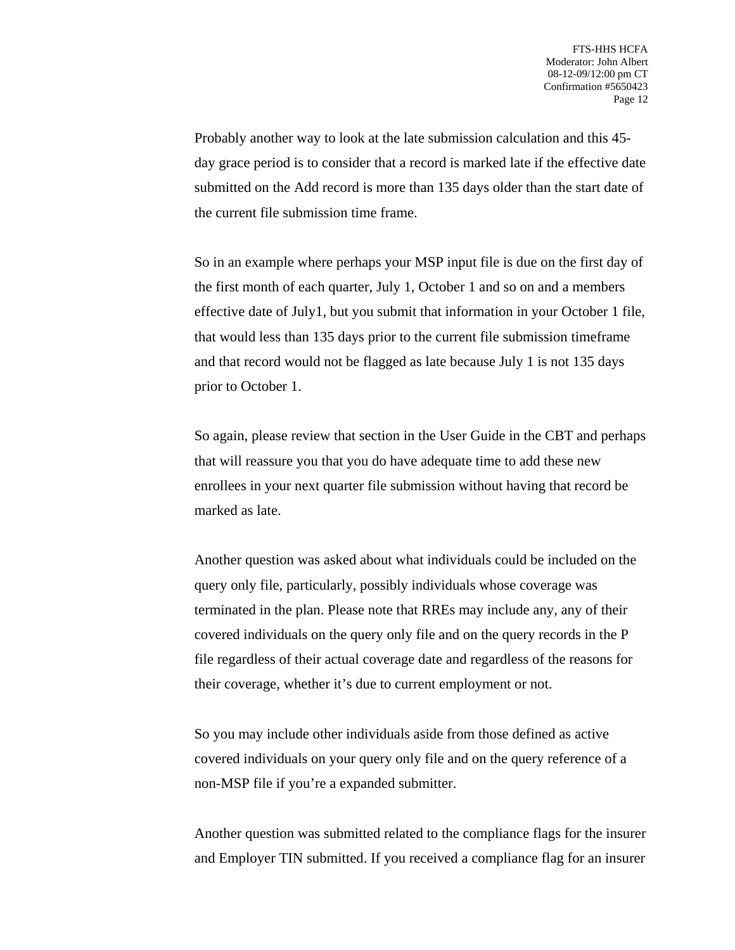Probably another way to look at the late submission calculation and this 45 day grace period is to consider that a record is marked late if the effective date submitted on the Add record is more than 135 days older than the start date of the current file submission time frame.

So in an example where perhaps your MSP input file is due on the first day of the first month of each quarter, July 1, October 1 and so on and a members effective date of July1, but you submit that information in your October 1 file, that would less than 135 days prior to the current file submission timeframe and that record would not be flagged as late because July 1 is not 135 days prior to October 1.

So again, please review that section in the User Guide in the CBT and perhaps that will reassure you that you do have adequate time to add these new enrollees in your next quarter file submission without having that record be marked as late.

Another question was asked about what individuals could be included on the query only file, particularly, possibly individuals whose coverage was terminated in the plan. Please note that RREs may include any, any of their covered individuals on the query only file and on the query records in the P file regardless of their actual coverage date and regardless of the reasons for their coverage, whether it's due to current employment or not.

So you may include other individuals aside from those defined as active covered individuals on your query only file and on the query reference of a non-MSP file if you're a expanded submitter.

Another question was submitted related to the compliance flags for the insurer and Employer TIN submitted. If you received a compliance flag for an insurer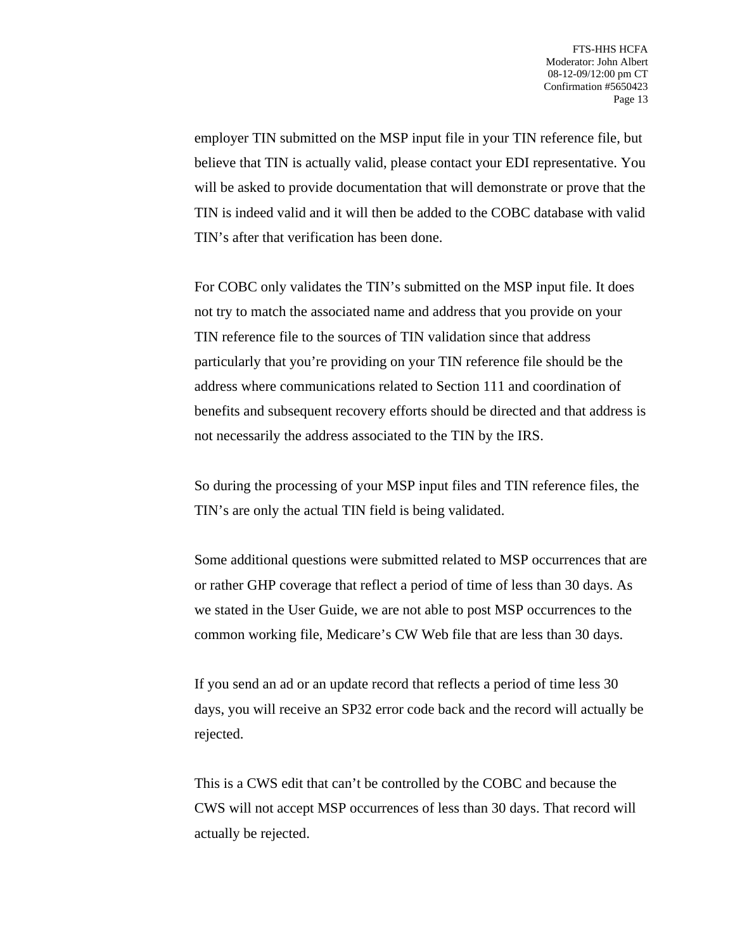employer TIN submitted on the MSP input file in your TIN reference file, but believe that TIN is actually valid, please contact your EDI representative. You will be asked to provide documentation that will demonstrate or prove that the TIN is indeed valid and it will then be added to the COBC database with valid TIN's after that verification has been done.

For COBC only validates the TIN's submitted on the MSP input file. It does not try to match the associated name and address that you provide on your TIN reference file to the sources of TIN validation since that address particularly that you're providing on your TIN reference file should be the address where communications related to Section 111 and coordination of benefits and subsequent recovery efforts should be directed and that address is not necessarily the address associated to the TIN by the IRS.

So during the processing of your MSP input files and TIN reference files, the TIN's are only the actual TIN field is being validated.

Some additional questions were submitted related to MSP occurrences that are or rather GHP coverage that reflect a period of time of less than 30 days. As we stated in the User Guide, we are not able to post MSP occurrences to the common working file, Medicare's CW Web file that are less than 30 days.

If you send an ad or an update record that reflects a period of time less 30 days, you will receive an SP32 error code back and the record will actually be rejected.

This is a CWS edit that can't be controlled by the COBC and because the CWS will not accept MSP occurrences of less than 30 days. That record will actually be rejected.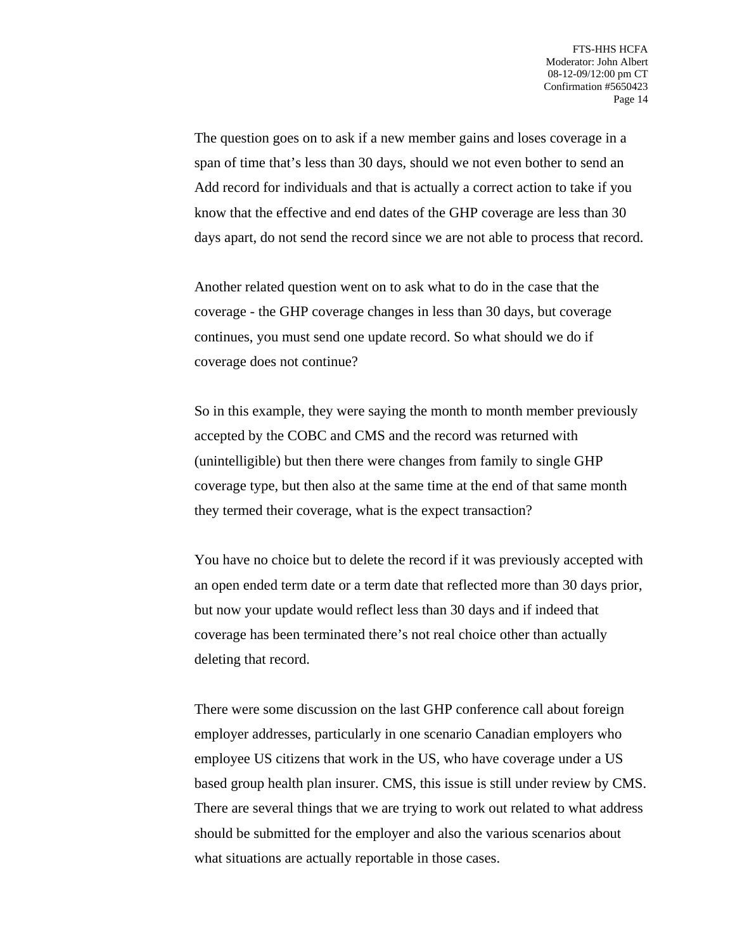The question goes on to ask if a new member gains and loses coverage in a span of time that's less than 30 days, should we not even bother to send an Add record for individuals and that is actually a correct action to take if you know that the effective and end dates of the GHP coverage are less than 30 days apart, do not send the record since we are not able to process that record.

Another related question went on to ask what to do in the case that the coverage - the GHP coverage changes in less than 30 days, but coverage continues, you must send one update record. So what should we do if coverage does not continue?

So in this example, they were saying the month to month member previously accepted by the COBC and CMS and the record was returned with (unintelligible) but then there were changes from family to single GHP coverage type, but then also at the same time at the end of that same month they termed their coverage, what is the expect transaction?

You have no choice but to delete the record if it was previously accepted with an open ended term date or a term date that reflected more than 30 days prior, but now your update would reflect less than 30 days and if indeed that coverage has been terminated there's not real choice other than actually deleting that record.

There were some discussion on the last GHP conference call about foreign employer addresses, particularly in one scenario Canadian employers who employee US citizens that work in the US, who have coverage under a US based group health plan insurer. CMS, this issue is still under review by CMS. There are several things that we are trying to work out related to what address should be submitted for the employer and also the various scenarios about what situations are actually reportable in those cases.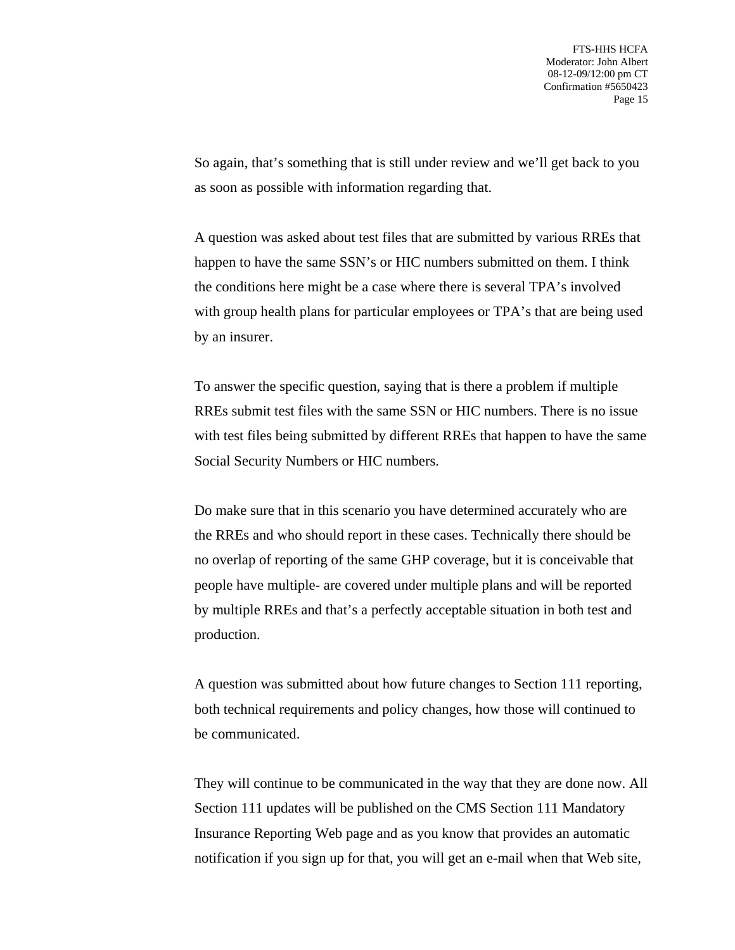So again, that's something that is still under review and we'll get back to you as soon as possible with information regarding that.

A question was asked about test files that are submitted by various RREs that happen to have the same SSN's or HIC numbers submitted on them. I think the conditions here might be a case where there is several TPA's involved with group health plans for particular employees or TPA's that are being used by an insurer.

To answer the specific question, saying that is there a problem if multiple RREs submit test files with the same SSN or HIC numbers. There is no issue with test files being submitted by different RREs that happen to have the same Social Security Numbers or HIC numbers.

Do make sure that in this scenario you have determined accurately who are the RREs and who should report in these cases. Technically there should be no overlap of reporting of the same GHP coverage, but it is conceivable that people have multiple- are covered under multiple plans and will be reported by multiple RREs and that's a perfectly acceptable situation in both test and production.

A question was submitted about how future changes to Section 111 reporting, both technical requirements and policy changes, how those will continued to be communicated.

They will continue to be communicated in the way that they are done now. All Section 111 updates will be published on the CMS Section 111 Mandatory Insurance Reporting Web page and as you know that provides an automatic notification if you sign up for that, you will get an e-mail when that Web site,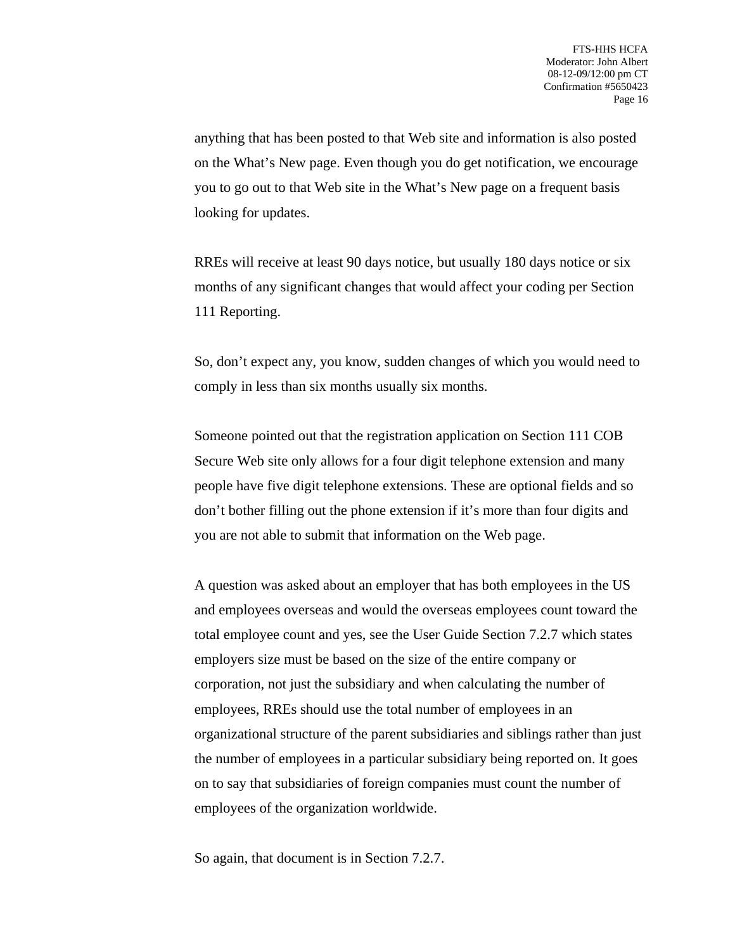anything that has been posted to that Web site and information is also posted on the What's New page. Even though you do get notification, we encourage you to go out to that Web site in the What's New page on a frequent basis looking for updates.

RREs will receive at least 90 days notice, but usually 180 days notice or six months of any significant changes that would affect your coding per Section 111 Reporting.

So, don't expect any, you know, sudden changes of which you would need to comply in less than six months usually six months.

Someone pointed out that the registration application on Section 111 COB Secure Web site only allows for a four digit telephone extension and many people have five digit telephone extensions. These are optional fields and so don't bother filling out the phone extension if it's more than four digits and you are not able to submit that information on the Web page.

A question was asked about an employer that has both employees in the US and employees overseas and would the overseas employees count toward the total employee count and yes, see the User Guide Section 7.2.7 which states employers size must be based on the size of the entire company or corporation, not just the subsidiary and when calculating the number of employees, RREs should use the total number of employees in an organizational structure of the parent subsidiaries and siblings rather than just the number of employees in a particular subsidiary being reported on. It goes on to say that subsidiaries of foreign companies must count the number of employees of the organization worldwide.

So again, that document is in Section 7.2.7.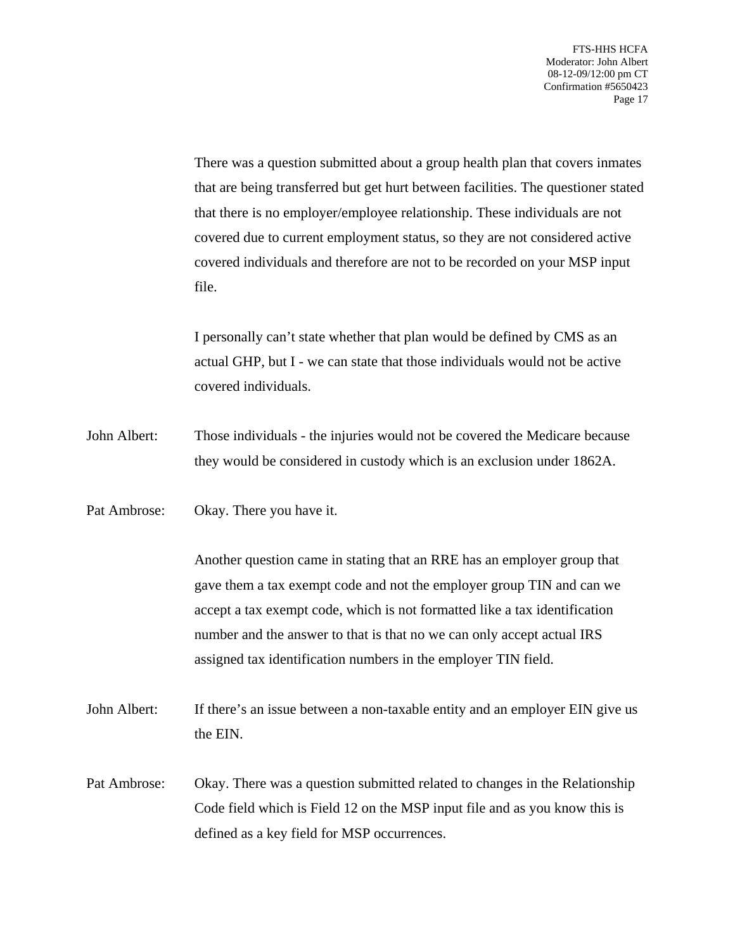There was a question submitted about a group health plan that covers inmates that are being transferred but get hurt between facilities. The questioner stated that there is no employer/employee relationship. These individuals are not covered due to current employment status, so they are not considered active covered individuals and therefore are not to be recorded on your MSP input file.

I personally can't state whether that plan would be defined by CMS as an actual GHP, but I - we can state that those individuals would not be active covered individuals.

- John Albert: Those individuals the injuries would not be covered the Medicare because they would be considered in custody which is an exclusion under 1862A.
- Pat Ambrose: Okay. There you have it.

Another question came in stating that an RRE has an employer group that gave them a tax exempt code and not the employer group TIN and can we accept a tax exempt code, which is not formatted like a tax identification number and the answer to that is that no we can only accept actual IRS assigned tax identification numbers in the employer TIN field.

- John Albert: If there's an issue between a non-taxable entity and an employer EIN give us the EIN.
- Pat Ambrose: Okay. There was a question submitted related to changes in the Relationship Code field which is Field 12 on the MSP input file and as you know this is defined as a key field for MSP occurrences.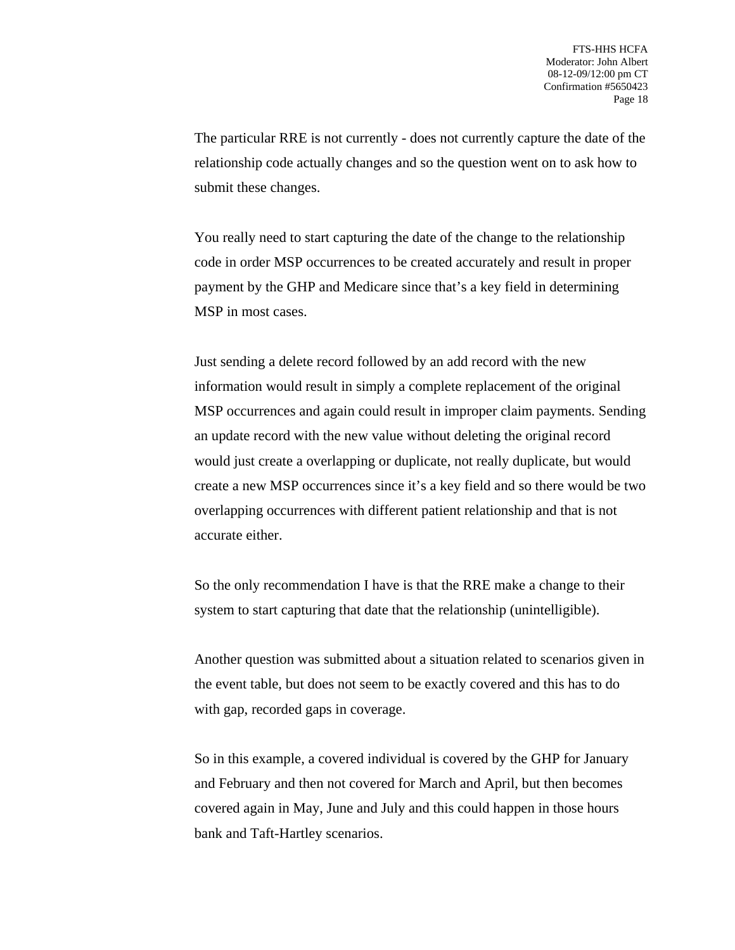The particular RRE is not currently - does not currently capture the date of the relationship code actually changes and so the question went on to ask how to submit these changes.

You really need to start capturing the date of the change to the relationship code in order MSP occurrences to be created accurately and result in proper payment by the GHP and Medicare since that's a key field in determining MSP in most cases.

Just sending a delete record followed by an add record with the new information would result in simply a complete replacement of the original MSP occurrences and again could result in improper claim payments. Sending an update record with the new value without deleting the original record would just create a overlapping or duplicate, not really duplicate, but would create a new MSP occurrences since it's a key field and so there would be two overlapping occurrences with different patient relationship and that is not accurate either.

So the only recommendation I have is that the RRE make a change to their system to start capturing that date that the relationship (unintelligible).

Another question was submitted about a situation related to scenarios given in the event table, but does not seem to be exactly covered and this has to do with gap, recorded gaps in coverage.

So in this example, a covered individual is covered by the GHP for January and February and then not covered for March and April, but then becomes covered again in May, June and July and this could happen in those hours bank and Taft-Hartley scenarios.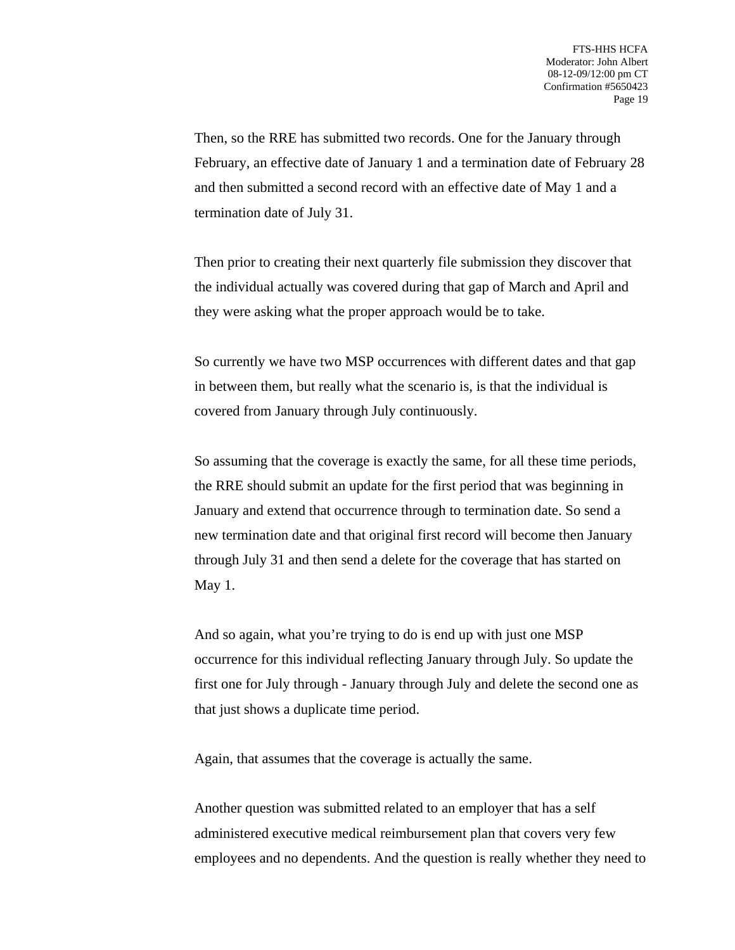Then, so the RRE has submitted two records. One for the January through February, an effective date of January 1 and a termination date of February 28 and then submitted a second record with an effective date of May 1 and a termination date of July 31.

Then prior to creating their next quarterly file submission they discover that the individual actually was covered during that gap of March and April and they were asking what the proper approach would be to take.

So currently we have two MSP occurrences with different dates and that gap in between them, but really what the scenario is, is that the individual is covered from January through July continuously.

So assuming that the coverage is exactly the same, for all these time periods, the RRE should submit an update for the first period that was beginning in January and extend that occurrence through to termination date. So send a new termination date and that original first record will become then January through July 31 and then send a delete for the coverage that has started on May 1.

And so again, what you're trying to do is end up with just one MSP occurrence for this individual reflecting January through July. So update the first one for July through - January through July and delete the second one as that just shows a duplicate time period.

Again, that assumes that the coverage is actually the same.

Another question was submitted related to an employer that has a self administered executive medical reimbursement plan that covers very few employees and no dependents. And the question is really whether they need to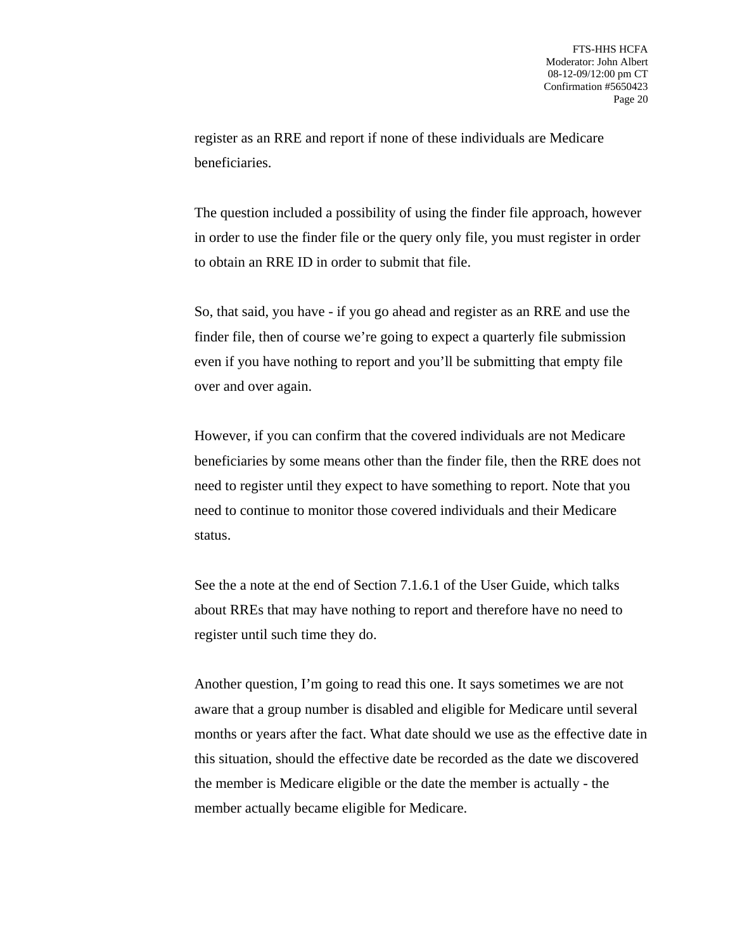register as an RRE and report if none of these individuals are Medicare beneficiaries.

The question included a possibility of using the finder file approach, however in order to use the finder file or the query only file, you must register in order to obtain an RRE ID in order to submit that file.

So, that said, you have - if you go ahead and register as an RRE and use the finder file, then of course we're going to expect a quarterly file submission even if you have nothing to report and you'll be submitting that empty file over and over again.

However, if you can confirm that the covered individuals are not Medicare beneficiaries by some means other than the finder file, then the RRE does not need to register until they expect to have something to report. Note that you need to continue to monitor those covered individuals and their Medicare status.

See the a note at the end of Section 7.1.6.1 of the User Guide, which talks about RREs that may have nothing to report and therefore have no need to register until such time they do.

Another question, I'm going to read this one. It says sometimes we are not aware that a group number is disabled and eligible for Medicare until several months or years after the fact. What date should we use as the effective date in this situation, should the effective date be recorded as the date we discovered the member is Medicare eligible or the date the member is actually - the member actually became eligible for Medicare.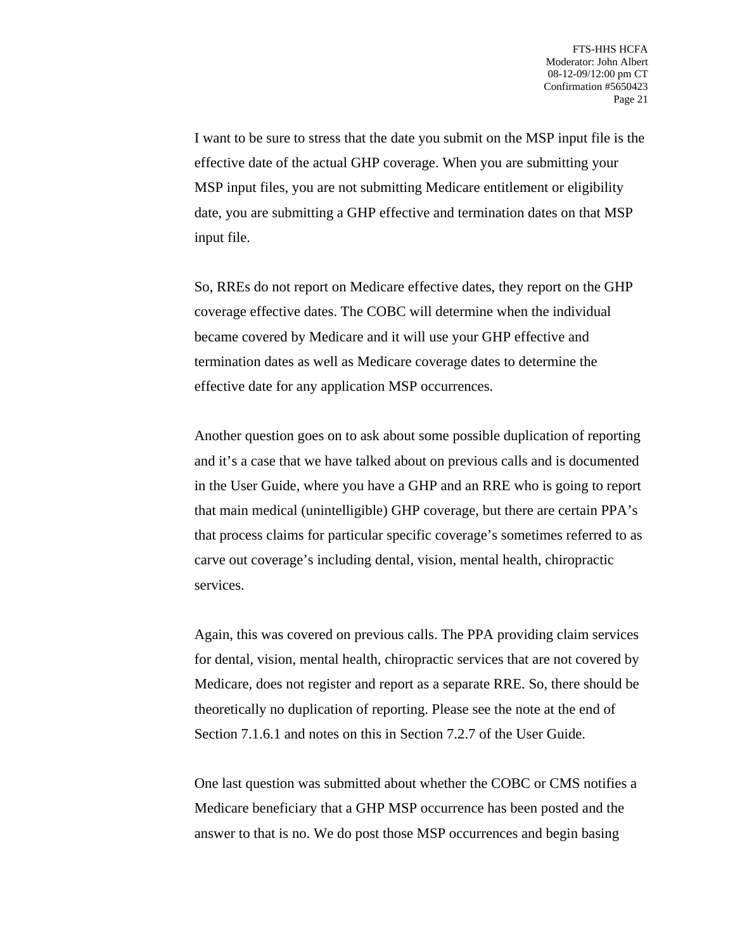I want to be sure to stress that the date you submit on the MSP input file is the effective date of the actual GHP coverage. When you are submitting your MSP input files, you are not submitting Medicare entitlement or eligibility date, you are submitting a GHP effective and termination dates on that MSP input file.

So, RREs do not report on Medicare effective dates, they report on the GHP coverage effective dates. The COBC will determine when the individual became covered by Medicare and it will use your GHP effective and termination dates as well as Medicare coverage dates to determine the effective date for any application MSP occurrences.

Another question goes on to ask about some possible duplication of reporting and it's a case that we have talked about on previous calls and is documented in the User Guide, where you have a GHP and an RRE who is going to report that main medical (unintelligible) GHP coverage, but there are certain PPA's that process claims for particular specific coverage's sometimes referred to as carve out coverage's including dental, vision, mental health, chiropractic services.

Again, this was covered on previous calls. The PPA providing claim services for dental, vision, mental health, chiropractic services that are not covered by Medicare, does not register and report as a separate RRE. So, there should be theoretically no duplication of reporting. Please see the note at the end of Section 7.1.6.1 and notes on this in Section 7.2.7 of the User Guide.

One last question was submitted about whether the COBC or CMS notifies a Medicare beneficiary that a GHP MSP occurrence has been posted and the answer to that is no. We do post those MSP occurrences and begin basing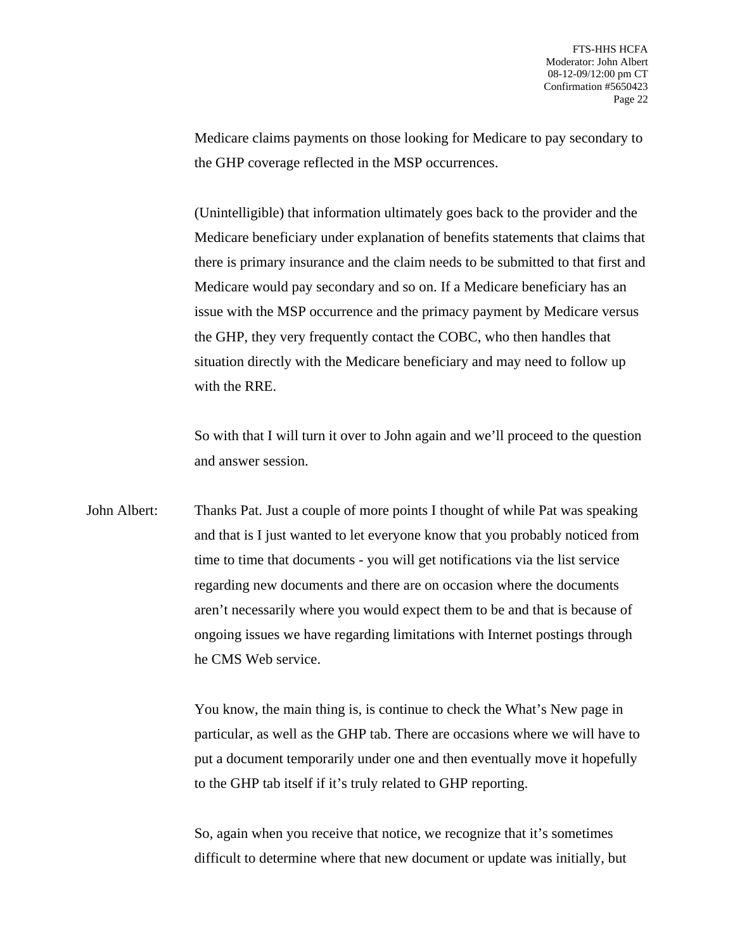Medicare claims payments on those looking for Medicare to pay secondary to the GHP coverage reflected in the MSP occurrences.

(Unintelligible) that information ultimately goes back to the provider and the Medicare beneficiary under explanation of benefits statements that claims that there is primary insurance and the claim needs to be submitted to that first and Medicare would pay secondary and so on. If a Medicare beneficiary has an issue with the MSP occurrence and the primacy payment by Medicare versus the GHP, they very frequently contact the COBC, who then handles that situation directly with the Medicare beneficiary and may need to follow up with the RRE.

So with that I will turn it over to John again and we'll proceed to the question and answer session.

John Albert: Thanks Pat. Just a couple of more points I thought of while Pat was speaking and that is I just wanted to let everyone know that you probably noticed from time to time that documents - you will get notifications via the list service regarding new documents and there are on occasion where the documents aren't necessarily where you would expect them to be and that is because of ongoing issues we have regarding limitations with Internet postings through he CMS Web service.

> You know, the main thing is, is continue to check the What's New page in particular, as well as the GHP tab. There are occasions where we will have to put a document temporarily under one and then eventually move it hopefully to the GHP tab itself if it's truly related to GHP reporting.

So, again when you receive that notice, we recognize that it's sometimes difficult to determine where that new document or update was initially, but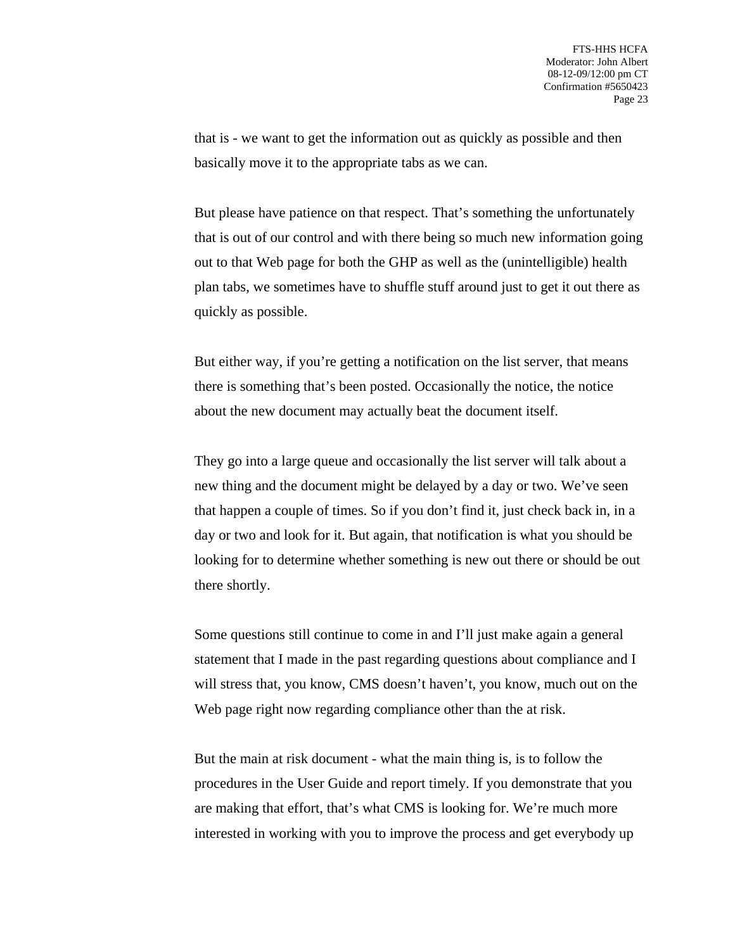that is - we want to get the information out as quickly as possible and then basically move it to the appropriate tabs as we can.

But please have patience on that respect. That's something the unfortunately that is out of our control and with there being so much new information going out to that Web page for both the GHP as well as the (unintelligible) health plan tabs, we sometimes have to shuffle stuff around just to get it out there as quickly as possible.

But either way, if you're getting a notification on the list server, that means there is something that's been posted. Occasionally the notice, the notice about the new document may actually beat the document itself.

They go into a large queue and occasionally the list server will talk about a new thing and the document might be delayed by a day or two. We've seen that happen a couple of times. So if you don't find it, just check back in, in a day or two and look for it. But again, that notification is what you should be looking for to determine whether something is new out there or should be out there shortly.

Some questions still continue to come in and I'll just make again a general statement that I made in the past regarding questions about compliance and I will stress that, you know, CMS doesn't haven't, you know, much out on the Web page right now regarding compliance other than the at risk.

But the main at risk document - what the main thing is, is to follow the procedures in the User Guide and report timely. If you demonstrate that you are making that effort, that's what CMS is looking for. We're much more interested in working with you to improve the process and get everybody up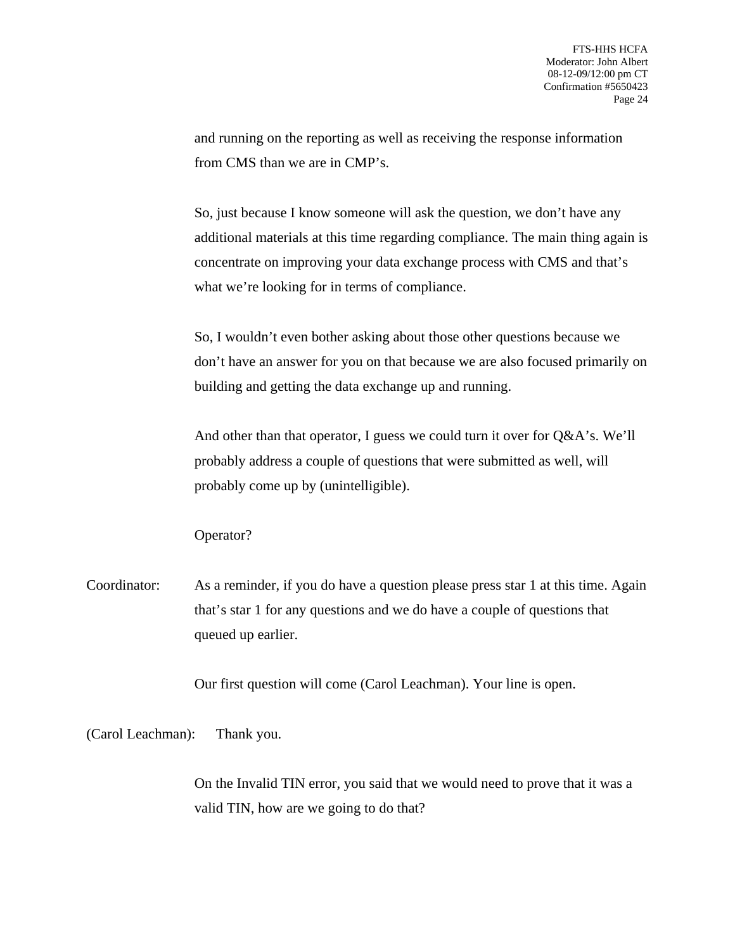and running on the reporting as well as receiving the response information from CMS than we are in CMP's.

So, just because I know someone will ask the question, we don't have any additional materials at this time regarding compliance. The main thing again is concentrate on improving your data exchange process with CMS and that's what we're looking for in terms of compliance.

So, I wouldn't even bother asking about those other questions because we don't have an answer for you on that because we are also focused primarily on building and getting the data exchange up and running.

And other than that operator, I guess we could turn it over for Q&A's. We'll probably address a couple of questions that were submitted as well, will probably come up by (unintelligible).

Operator?

Coordinator: As a reminder, if you do have a question please press star 1 at this time. Again that's star 1 for any questions and we do have a couple of questions that queued up earlier.

Our first question will come (Carol Leachman). Your line is open.

(Carol Leachman): Thank you.

On the Invalid TIN error, you said that we would need to prove that it was a valid TIN, how are we going to do that?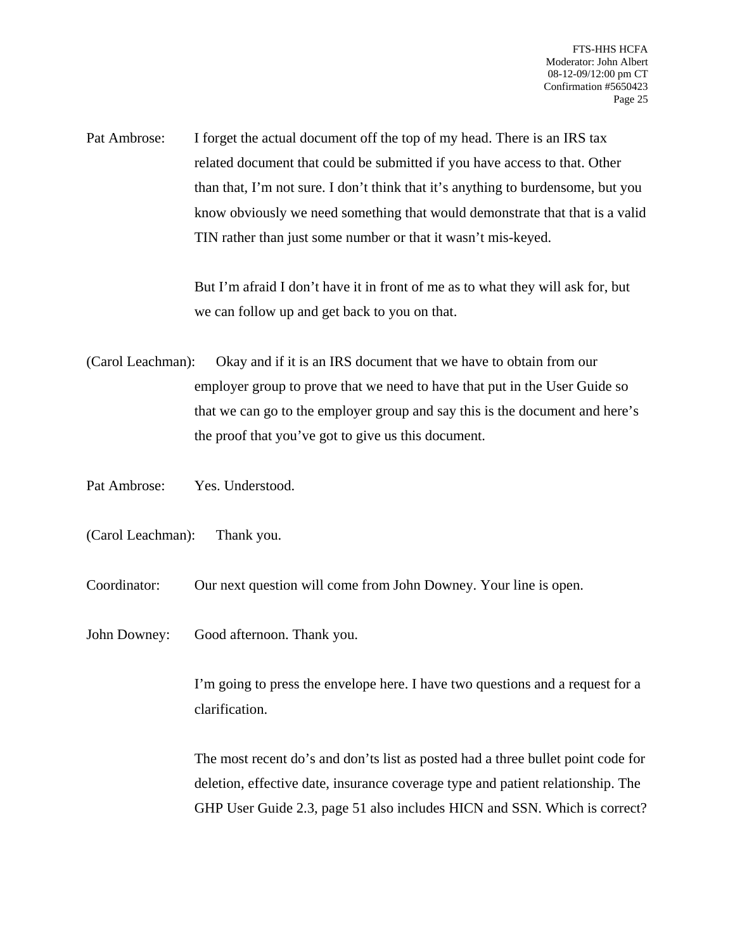Pat Ambrose: I forget the actual document off the top of my head. There is an IRS tax related document that could be submitted if you have access to that. Other than that, I'm not sure. I don't think that it's anything to burdensome, but you know obviously we need something that would demonstrate that that is a valid TIN rather than just some number or that it wasn't mis-keyed.

> But I'm afraid I don't have it in front of me as to what they will ask for, but we can follow up and get back to you on that.

(Carol Leachman): Okay and if it is an IRS document that we have to obtain from our employer group to prove that we need to have that put in the User Guide so that we can go to the employer group and say this is the document and here's the proof that you've got to give us this document.

Pat Ambrose: Yes. Understood.

(Carol Leachman): Thank you.

Coordinator: Our next question will come from John Downey. Your line is open.

John Downey: Good afternoon. Thank you.

I'm going to press the envelope here. I have two questions and a request for a clarification.

The most recent do's and don'ts list as posted had a three bullet point code for deletion, effective date, insurance coverage type and patient relationship. The GHP User Guide 2.3, page 51 also includes HICN and SSN. Which is correct?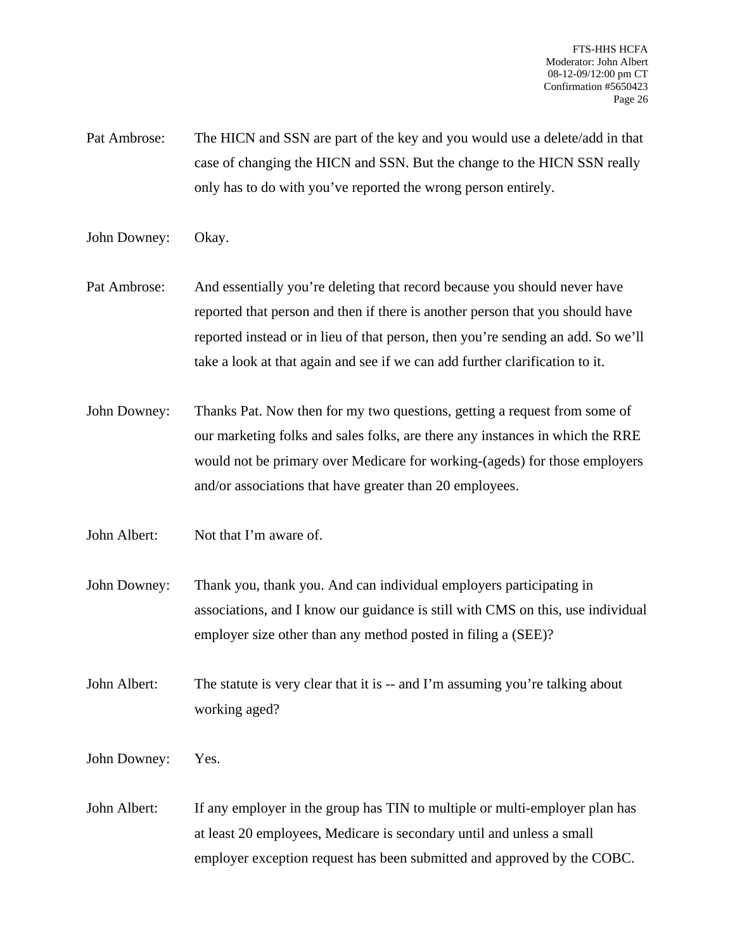- Pat Ambrose: The HICN and SSN are part of the key and you would use a delete/add in that case of changing the HICN and SSN. But the change to the HICN SSN really only has to do with you've reported the wrong person entirely.
- John Downey: Okay.
- Pat Ambrose: And essentially you're deleting that record because you should never have reported that person and then if there is another person that you should have reported instead or in lieu of that person, then you're sending an add. So we'll take a look at that again and see if we can add further clarification to it.
- John Downey: Thanks Pat. Now then for my two questions, getting a request from some of our marketing folks and sales folks, are there any instances in which the RRE would not be primary over Medicare for working-(ageds) for those employers and/or associations that have greater than 20 employees.
- John Albert: Not that I'm aware of.
- John Downey: Thank you, thank you. And can individual employers participating in associations, and I know our guidance is still with CMS on this, use individual employer size other than any method posted in filing a (SEE)?
- John Albert: The statute is very clear that it is -- and I'm assuming you're talking about working aged?
- John Downey: Yes.
- John Albert: If any employer in the group has TIN to multiple or multi-employer plan has at least 20 employees, Medicare is secondary until and unless a small employer exception request has been submitted and approved by the COBC.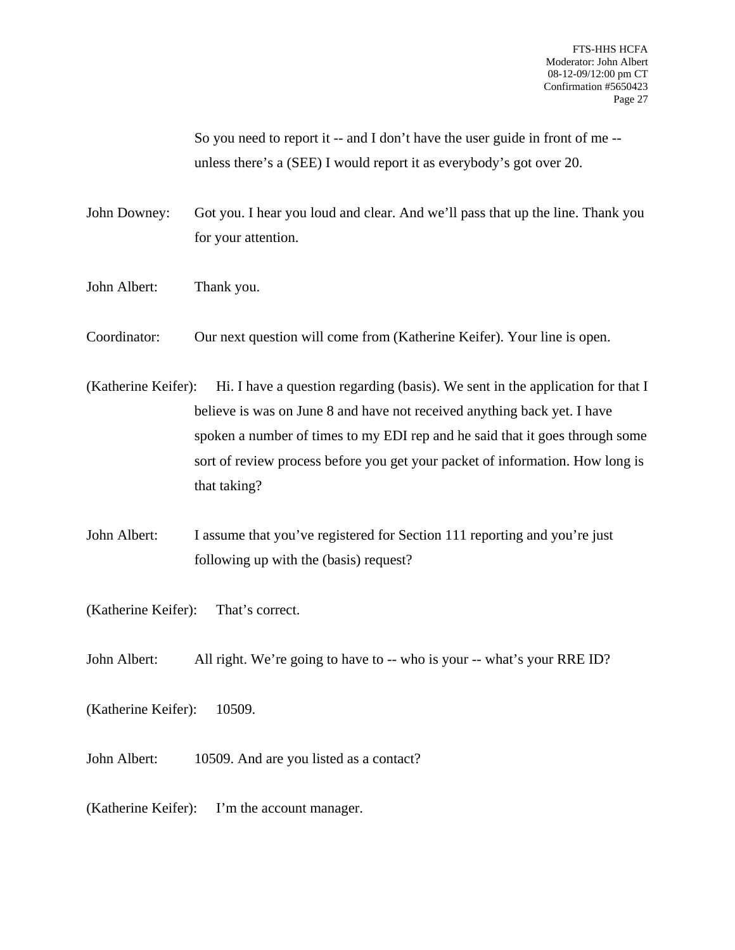So you need to report it -- and I don't have the user guide in front of me - unless there's a (SEE) I would report it as everybody's got over 20.

John Downey: Got you. I hear you loud and clear. And we'll pass that up the line. Thank you for your attention.

- John Albert: Thank you.
- Coordinator: Our next question will come from (Katherine Keifer). Your line is open.
- (Katherine Keifer): Hi. I have a question regarding (basis). We sent in the application for that I believe is was on June 8 and have not received anything back yet. I have spoken a number of times to my EDI rep and he said that it goes through some sort of review process before you get your packet of information. How long is that taking?
- John Albert: I assume that you've registered for Section 111 reporting and you're just following up with the (basis) request?
- (Katherine Keifer): That's correct.
- John Albert: All right. We're going to have to -- who is your -- what's your RRE ID?
- (Katherine Keifer): 10509.
- John Albert: 10509. And are you listed as a contact?
- (Katherine Keifer): I'm the account manager.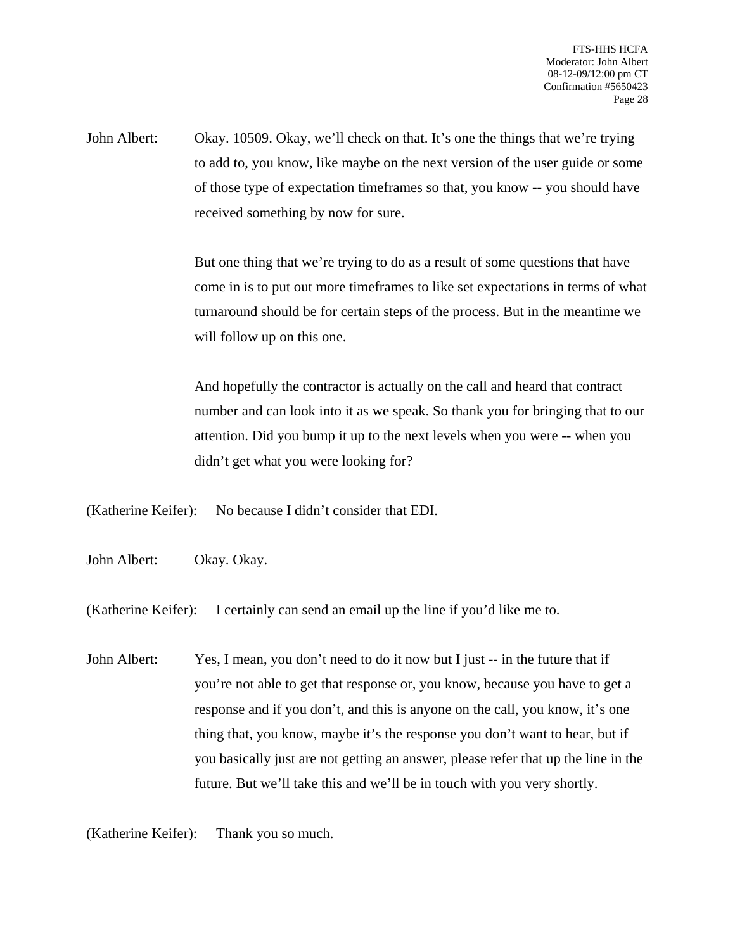John Albert: Okay. 10509. Okay, we'll check on that. It's one the things that we're trying to add to, you know, like maybe on the next version of the user guide or some of those type of expectation timeframes so that, you know -- you should have received something by now for sure.

> But one thing that we're trying to do as a result of some questions that have come in is to put out more timeframes to like set expectations in terms of what turnaround should be for certain steps of the process. But in the meantime we will follow up on this one.

> And hopefully the contractor is actually on the call and heard that contract number and can look into it as we speak. So thank you for bringing that to our attention. Did you bump it up to the next levels when you were -- when you didn't get what you were looking for?

(Katherine Keifer): No because I didn't consider that EDI.

John Albert: Okay. Okay.

(Katherine Keifer): I certainly can send an email up the line if you'd like me to.

John Albert: Yes, I mean, you don't need to do it now but I just -- in the future that if you're not able to get that response or, you know, because you have to get a response and if you don't, and this is anyone on the call, you know, it's one thing that, you know, maybe it's the response you don't want to hear, but if you basically just are not getting an answer, please refer that up the line in the future. But we'll take this and we'll be in touch with you very shortly.

(Katherine Keifer): Thank you so much.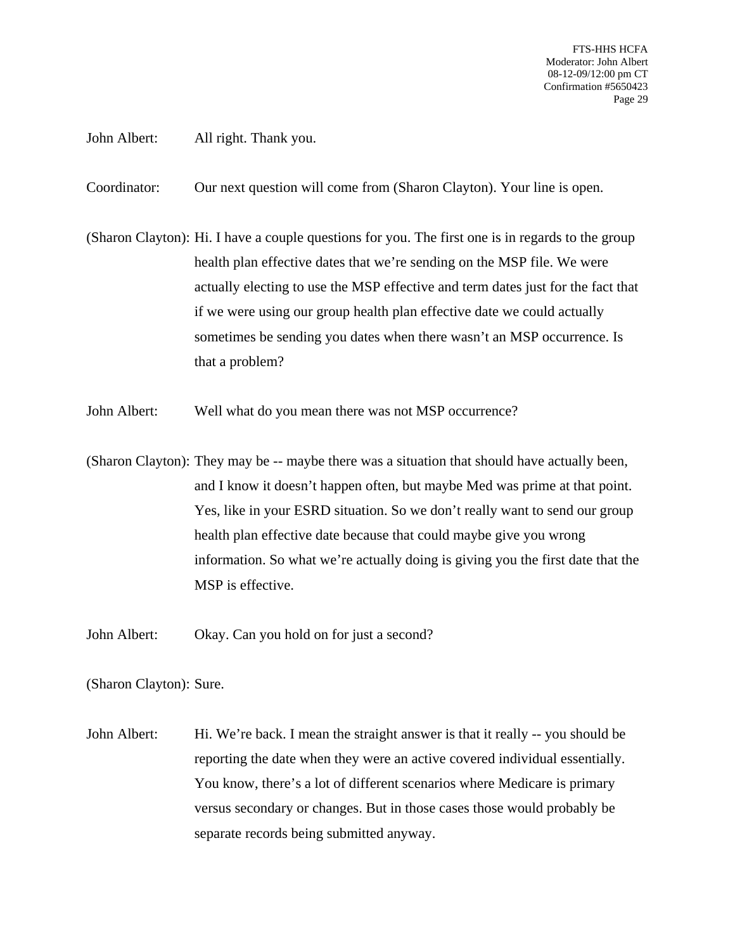John Albert: All right. Thank you.

Coordinator: Our next question will come from (Sharon Clayton). Your line is open.

(Sharon Clayton): Hi. I have a couple questions for you. The first one is in regards to the group health plan effective dates that we're sending on the MSP file. We were actually electing to use the MSP effective and term dates just for the fact that if we were using our group health plan effective date we could actually sometimes be sending you dates when there wasn't an MSP occurrence. Is that a problem?

- John Albert: Well what do you mean there was not MSP occurrence?
- (Sharon Clayton): They may be -- maybe there was a situation that should have actually been, and I know it doesn't happen often, but maybe Med was prime at that point. Yes, like in your ESRD situation. So we don't really want to send our group health plan effective date because that could maybe give you wrong information. So what we're actually doing is giving you the first date that the MSP is effective.
- John Albert: Okay. Can you hold on for just a second?

(Sharon Clayton): Sure.

John Albert: Hi. We're back. I mean the straight answer is that it really -- you should be reporting the date when they were an active covered individual essentially. You know, there's a lot of different scenarios where Medicare is primary versus secondary or changes. But in those cases those would probably be separate records being submitted anyway.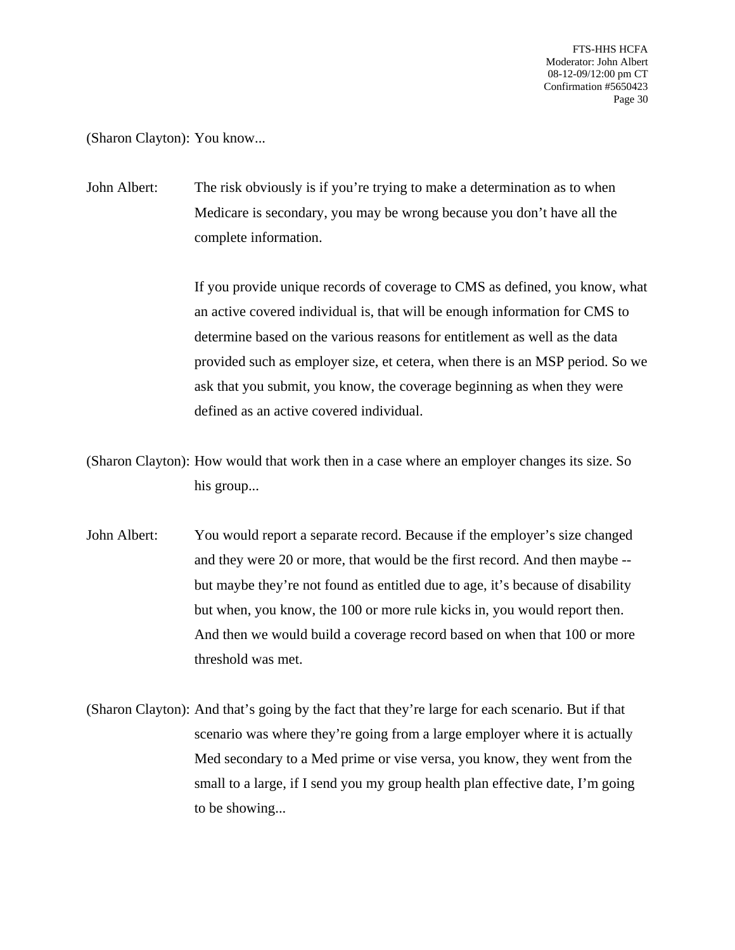(Sharon Clayton): You know...

John Albert: The risk obviously is if you're trying to make a determination as to when Medicare is secondary, you may be wrong because you don't have all the complete information.

> If you provide unique records of coverage to CMS as defined, you know, what an active covered individual is, that will be enough information for CMS to determine based on the various reasons for entitlement as well as the data provided such as employer size, et cetera, when there is an MSP period. So we ask that you submit, you know, the coverage beginning as when they were defined as an active covered individual.

(Sharon Clayton): How would that work then in a case where an employer changes its size. So his group...

John Albert: You would report a separate record. Because if the employer's size changed and they were 20 or more, that would be the first record. And then maybe - but maybe they're not found as entitled due to age, it's because of disability but when, you know, the 100 or more rule kicks in, you would report then. And then we would build a coverage record based on when that 100 or more threshold was met.

(Sharon Clayton): And that's going by the fact that they're large for each scenario. But if that scenario was where they're going from a large employer where it is actually Med secondary to a Med prime or vise versa, you know, they went from the small to a large, if I send you my group health plan effective date, I'm going to be showing...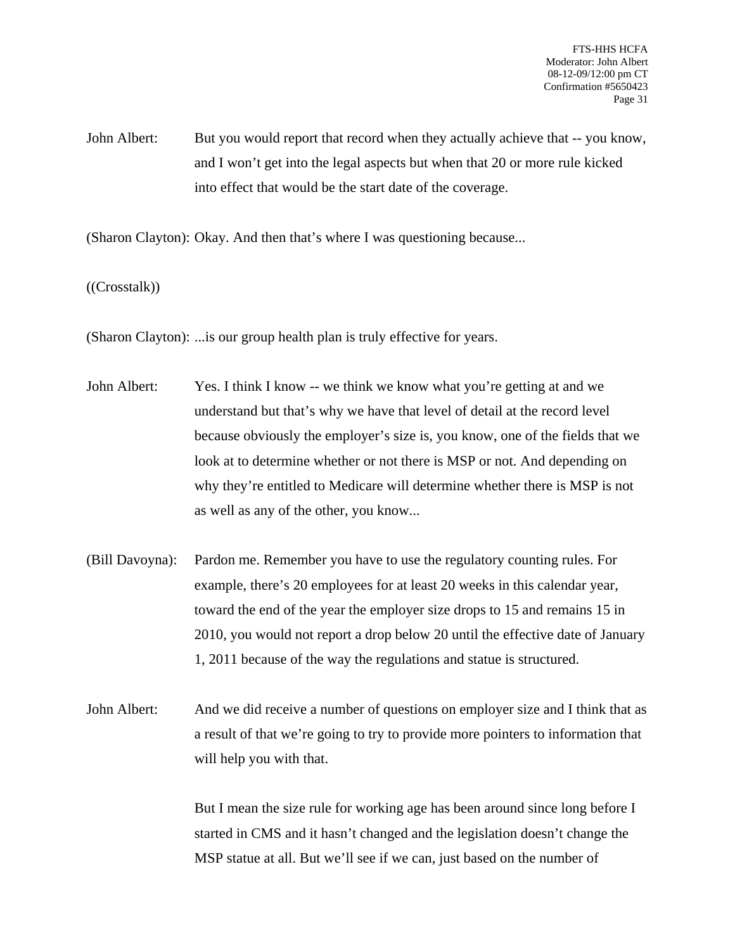John Albert: But you would report that record when they actually achieve that -- you know, and I won't get into the legal aspects but when that 20 or more rule kicked into effect that would be the start date of the coverage.

(Sharon Clayton): Okay. And then that's where I was questioning because...

((Crosstalk))

(Sharon Clayton): ...is our group health plan is truly effective for years.

- John Albert: Yes. I think I know -- we think we know what you're getting at and we understand but that's why we have that level of detail at the record level because obviously the employer's size is, you know, one of the fields that we look at to determine whether or not there is MSP or not. And depending on why they're entitled to Medicare will determine whether there is MSP is not as well as any of the other, you know...
- (Bill Davoyna): Pardon me. Remember you have to use the regulatory counting rules. For example, there's 20 employees for at least 20 weeks in this calendar year, toward the end of the year the employer size drops to 15 and remains 15 in 2010, you would not report a drop below 20 until the effective date of January 1, 2011 because of the way the regulations and statue is structured.
- John Albert: And we did receive a number of questions on employer size and I think that as a result of that we're going to try to provide more pointers to information that will help you with that.

But I mean the size rule for working age has been around since long before I started in CMS and it hasn't changed and the legislation doesn't change the MSP statue at all. But we'll see if we can, just based on the number of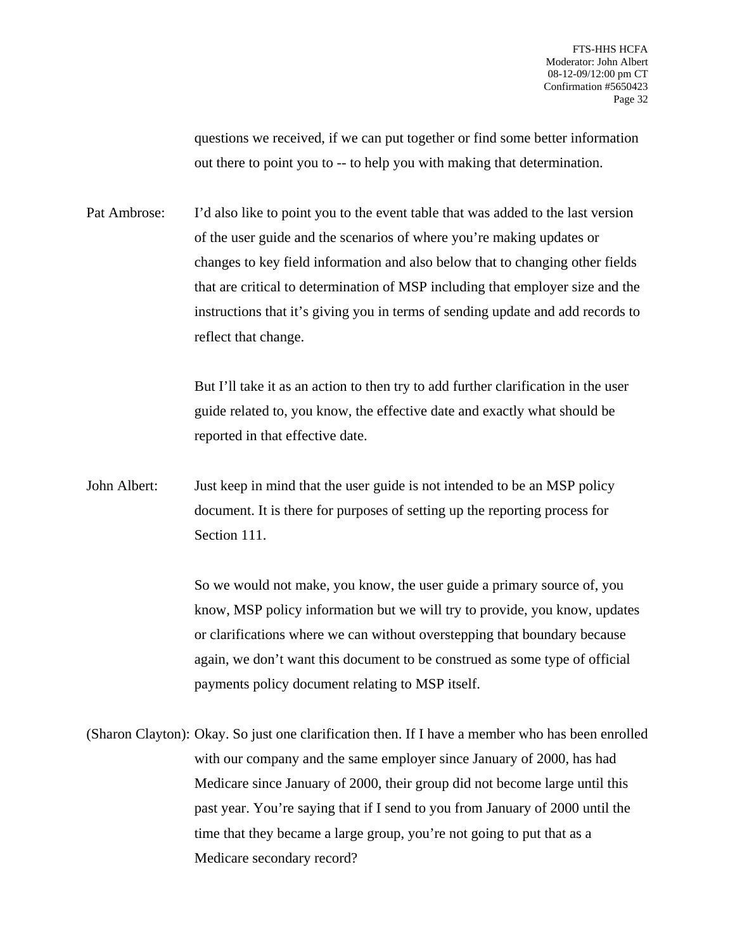questions we received, if we can put together or find some better information out there to point you to -- to help you with making that determination.

Pat Ambrose: I'd also like to point you to the event table that was added to the last version of the user guide and the scenarios of where you're making updates or changes to key field information and also below that to changing other fields that are critical to determination of MSP including that employer size and the instructions that it's giving you in terms of sending update and add records to reflect that change.

> But I'll take it as an action to then try to add further clarification in the user guide related to, you know, the effective date and exactly what should be reported in that effective date.

John Albert: Just keep in mind that the user guide is not intended to be an MSP policy document. It is there for purposes of setting up the reporting process for Section 111.

> So we would not make, you know, the user guide a primary source of, you know, MSP policy information but we will try to provide, you know, updates or clarifications where we can without overstepping that boundary because again, we don't want this document to be construed as some type of official payments policy document relating to MSP itself.

(Sharon Clayton): Okay. So just one clarification then. If I have a member who has been enrolled with our company and the same employer since January of 2000, has had Medicare since January of 2000, their group did not become large until this past year. You're saying that if I send to you from January of 2000 until the time that they became a large group, you're not going to put that as a Medicare secondary record?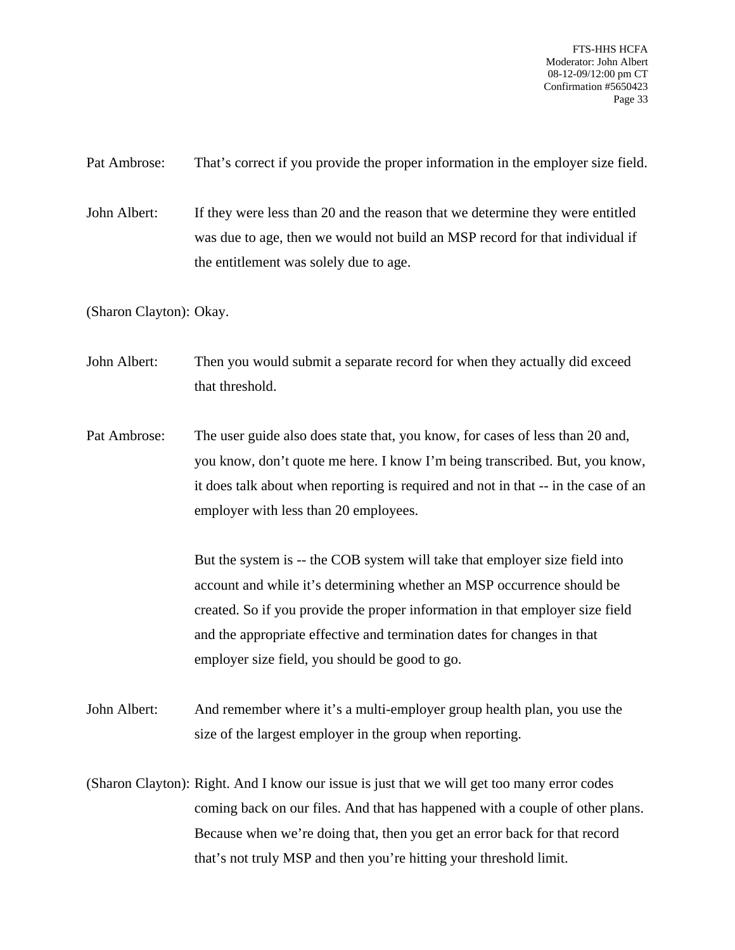Pat Ambrose: That's correct if you provide the proper information in the employer size field.

John Albert: If they were less than 20 and the reason that we determine they were entitled was due to age, then we would not build an MSP record for that individual if the entitlement was solely due to age.

(Sharon Clayton): Okay.

John Albert: Then you would submit a separate record for when they actually did exceed that threshold.

Pat Ambrose: The user guide also does state that, you know, for cases of less than 20 and, you know, don't quote me here. I know I'm being transcribed. But, you know, it does talk about when reporting is required and not in that -- in the case of an employer with less than 20 employees.

> But the system is -- the COB system will take that employer size field into account and while it's determining whether an MSP occurrence should be created. So if you provide the proper information in that employer size field and the appropriate effective and termination dates for changes in that employer size field, you should be good to go.

John Albert: And remember where it's a multi-employer group health plan, you use the size of the largest employer in the group when reporting.

(Sharon Clayton): Right. And I know our issue is just that we will get too many error codes coming back on our files. And that has happened with a couple of other plans. Because when we're doing that, then you get an error back for that record that's not truly MSP and then you're hitting your threshold limit.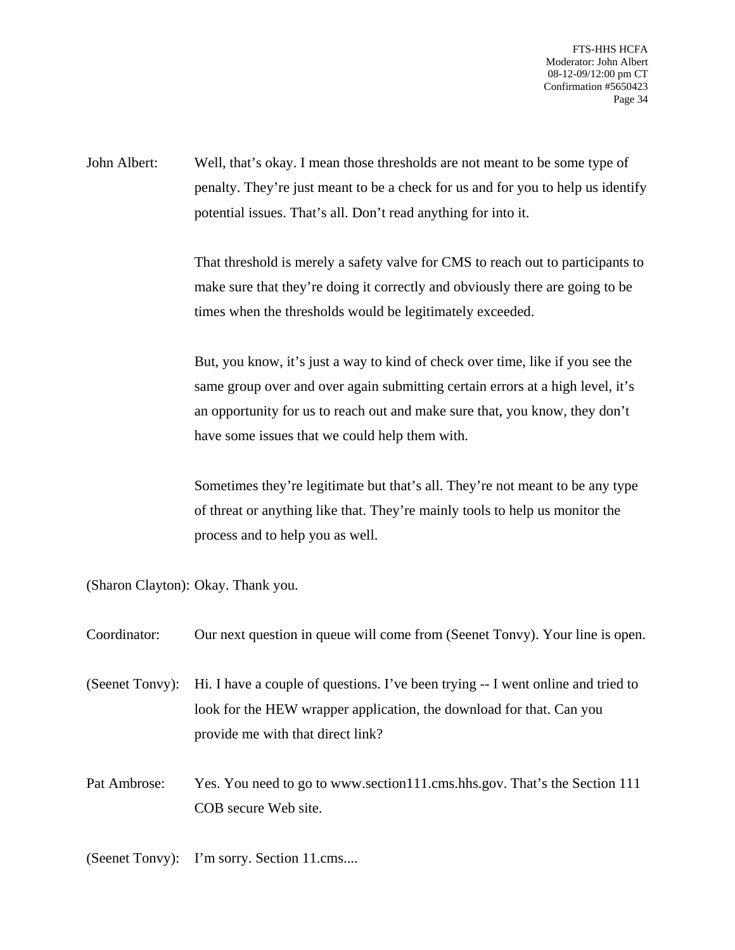John Albert: Well, that's okay. I mean those thresholds are not meant to be some type of penalty. They're just meant to be a check for us and for you to help us identify potential issues. That's all. Don't read anything for into it.

> That threshold is merely a safety valve for CMS to reach out to participants to make sure that they're doing it correctly and obviously there are going to be times when the thresholds would be legitimately exceeded.

But, you know, it's just a way to kind of check over time, like if you see the same group over and over again submitting certain errors at a high level, it's an opportunity for us to reach out and make sure that, you know, they don't have some issues that we could help them with.

Sometimes they're legitimate but that's all. They're not meant to be any type of threat or anything like that. They're mainly tools to help us monitor the process and to help you as well.

(Sharon Clayton): Okay. Thank you.

| Coordinator: | Our next question in queue will come from (Seenet Tonvy). Your line is open.                                                                                                                                  |
|--------------|---------------------------------------------------------------------------------------------------------------------------------------------------------------------------------------------------------------|
|              | (Seenet Tonvy): Hi. I have a couple of questions. I've been trying -- I went online and tried to<br>look for the HEW wrapper application, the download for that. Can you<br>provide me with that direct link? |
| Pat Ambrose: | Yes. You need to go to www.section111.cms.hhs.gov. That's the Section 111<br>COB secure Web site.                                                                                                             |

(Seenet Tonvy): I'm sorry. Section 11.cms....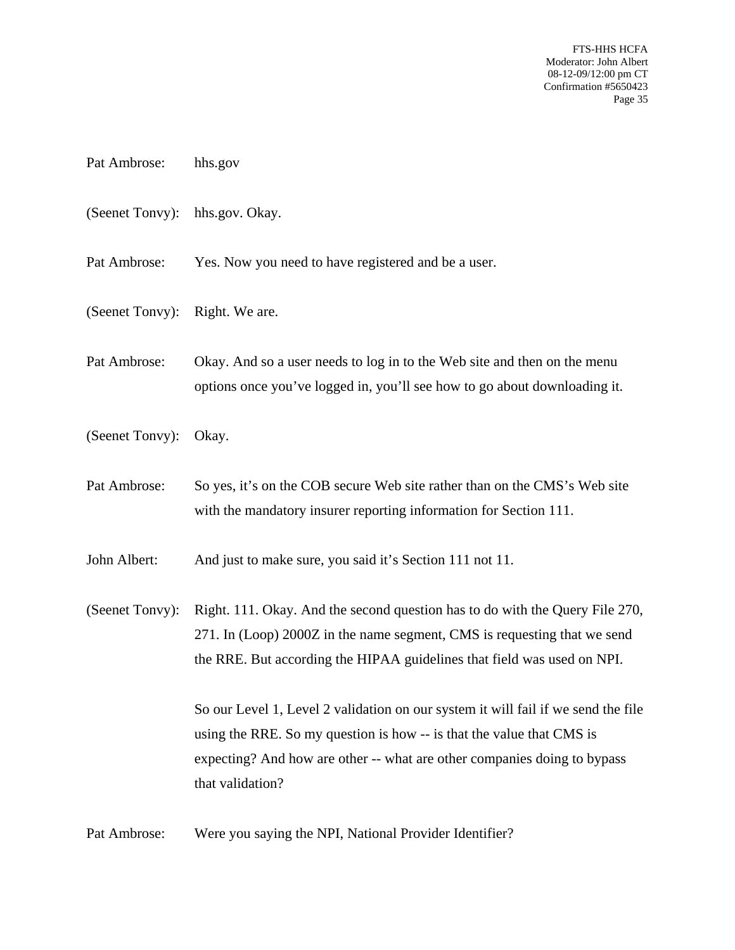- Pat Ambrose: hhs.gov
- (Seenet Tonvy): hhs.gov. Okay.
- Pat Ambrose: Yes. Now you need to have registered and be a user.
- (Seenet Tonvy): Right. We are.
- Pat Ambrose: Okay. And so a user needs to log in to the Web site and then on the menu options once you've logged in, you'll see how to go about downloading it.
- (Seenet Tonvy): Okay.
- Pat Ambrose: So yes, it's on the COB secure Web site rather than on the CMS's Web site with the mandatory insurer reporting information for Section 111.
- John Albert: And just to make sure, you said it's Section 111 not 11.

(Seenet Tonvy): Right. 111. Okay. And the second question has to do with the Query File 270, 271. In (Loop) 2000Z in the name segment, CMS is requesting that we send the RRE. But according the HIPAA guidelines that field was used on NPI.

> So our Level 1, Level 2 validation on our system it will fail if we send the file using the RRE. So my question is how -- is that the value that CMS is expecting? And how are other -- what are other companies doing to bypass that validation?

Pat Ambrose: Were you saying the NPI, National Provider Identifier?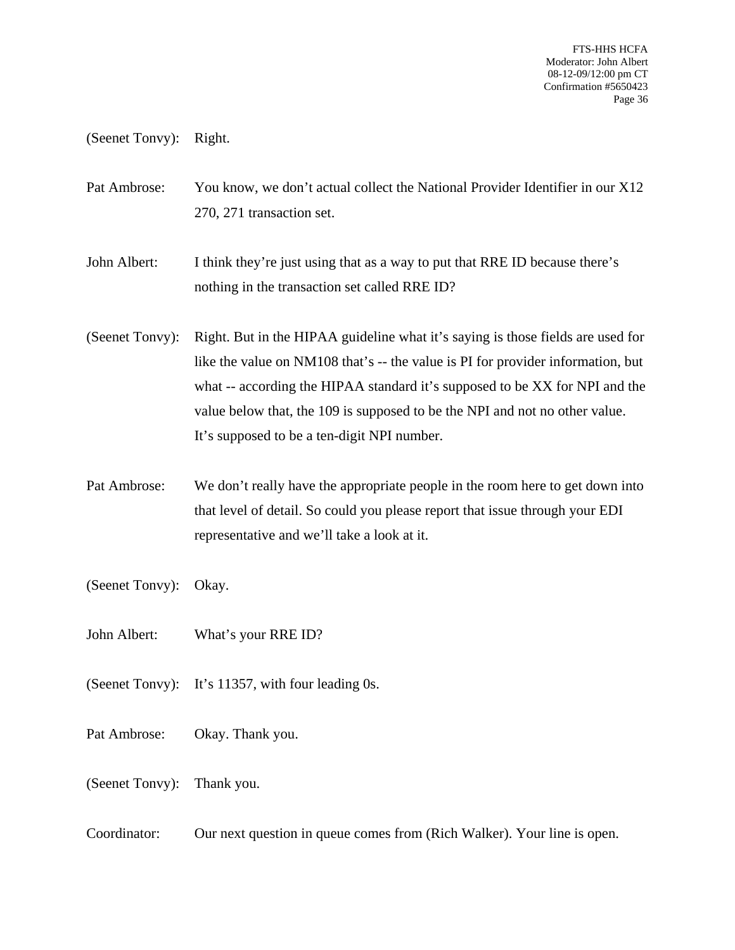(Seenet Tonvy): Right.

Pat Ambrose: You know, we don't actual collect the National Provider Identifier in our X12 270, 271 transaction set.

John Albert: I think they're just using that as a way to put that RRE ID because there's nothing in the transaction set called RRE ID?

(Seenet Tonvy): Right. But in the HIPAA guideline what it's saying is those fields are used for like the value on NM108 that's -- the value is PI for provider information, but what -- according the HIPAA standard it's supposed to be XX for NPI and the value below that, the 109 is supposed to be the NPI and not no other value. It's supposed to be a ten-digit NPI number.

- Pat Ambrose: We don't really have the appropriate people in the room here to get down into that level of detail. So could you please report that issue through your EDI representative and we'll take a look at it.
- (Seenet Tonvy): Okay.
- John Albert: What's your RRE ID?
- (Seenet Tonvy): It's 11357, with four leading 0s.
- Pat Ambrose: Okay. Thank you.
- (Seenet Tonvy): Thank you.
- Coordinator: Our next question in queue comes from (Rich Walker). Your line is open.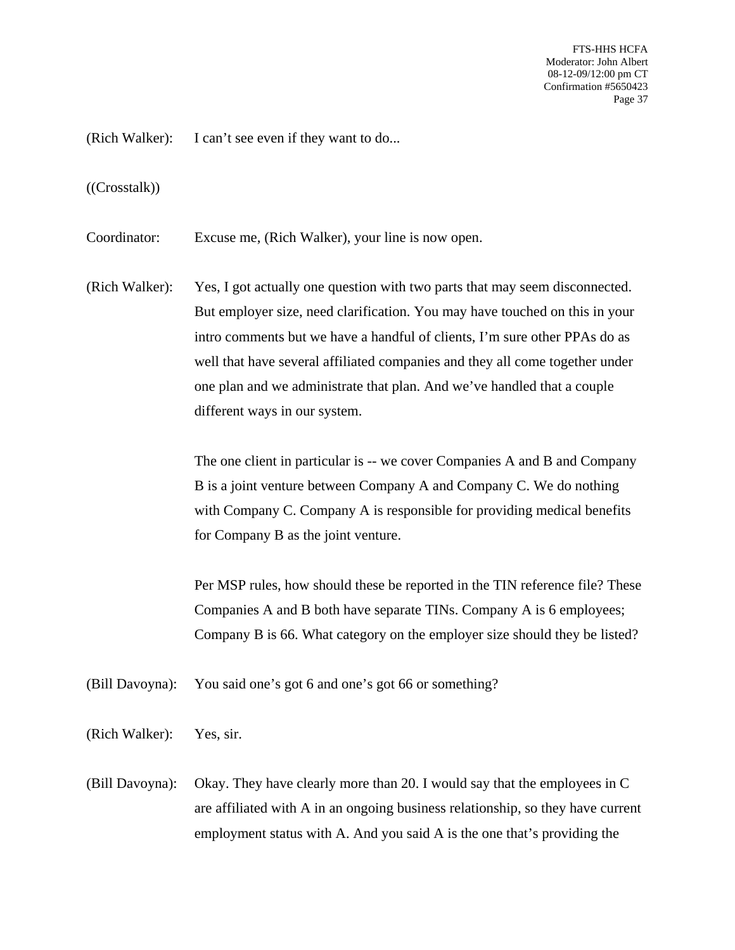(Rich Walker): I can't see even if they want to do...

#### ((Crosstalk))

Coordinator: Excuse me, (Rich Walker), your line is now open.

(Rich Walker): Yes, I got actually one question with two parts that may seem disconnected. But employer size, need clarification. You may have touched on this in your intro comments but we have a handful of clients, I'm sure other PPAs do as well that have several affiliated companies and they all come together under one plan and we administrate that plan. And we've handled that a couple different ways in our system.

> The one client in particular is -- we cover Companies A and B and Company B is a joint venture between Company A and Company C. We do nothing with Company C. Company A is responsible for providing medical benefits for Company B as the joint venture.

Per MSP rules, how should these be reported in the TIN reference file? These Companies A and B both have separate TINs. Company A is 6 employees; Company B is 66. What category on the employer size should they be listed?

(Bill Davoyna): You said one's got 6 and one's got 66 or something?

- (Rich Walker): Yes, sir.
- (Bill Davoyna): Okay. They have clearly more than 20. I would say that the employees in C are affiliated with A in an ongoing business relationship, so they have current employment status with A. And you said A is the one that's providing the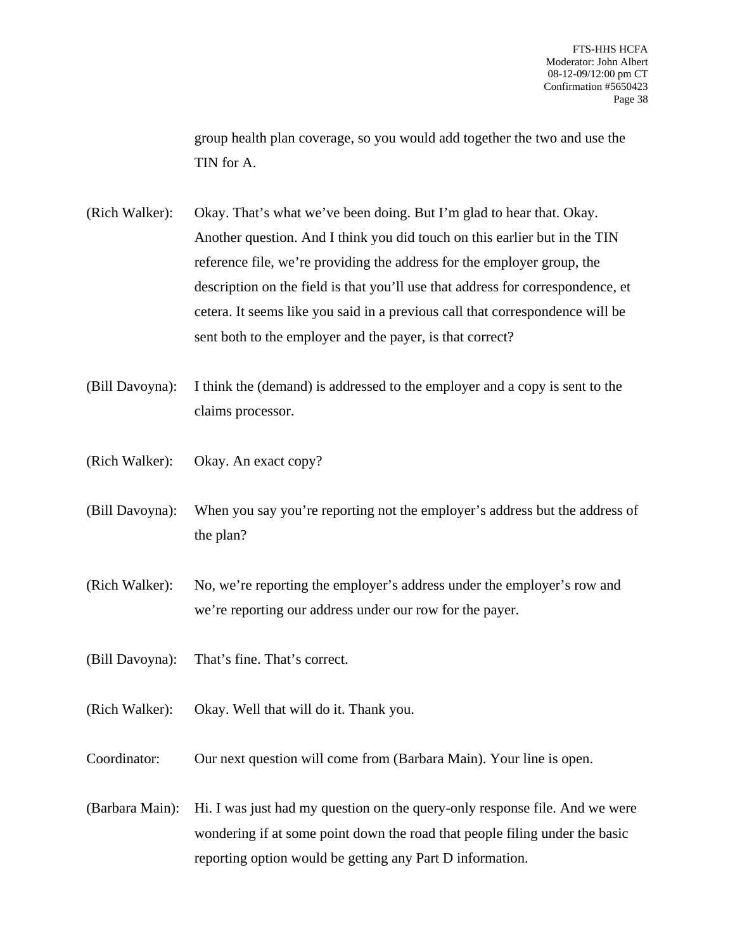group health plan coverage, so you would add together the two and use the TIN for A.

- (Rich Walker): Okay. That's what we've been doing. But I'm glad to hear that. Okay. Another question. And I think you did touch on this earlier but in the TIN reference file, we're providing the address for the employer group, the description on the field is that you'll use that address for correspondence, et cetera. It seems like you said in a previous call that correspondence will be sent both to the employer and the payer, is that correct?
- (Bill Davoyna): I think the (demand) is addressed to the employer and a copy is sent to the claims processor.
- (Rich Walker): Okay. An exact copy?
- (Bill Davoyna): When you say you're reporting not the employer's address but the address of the plan?
- (Rich Walker): No, we're reporting the employer's address under the employer's row and we're reporting our address under our row for the payer.
- (Bill Davoyna): That's fine. That's correct.
- (Rich Walker): Okay. Well that will do it. Thank you.
- Coordinator: Our next question will come from (Barbara Main). Your line is open.
- (Barbara Main): Hi. I was just had my question on the query-only response file. And we were wondering if at some point down the road that people filing under the basic reporting option would be getting any Part D information.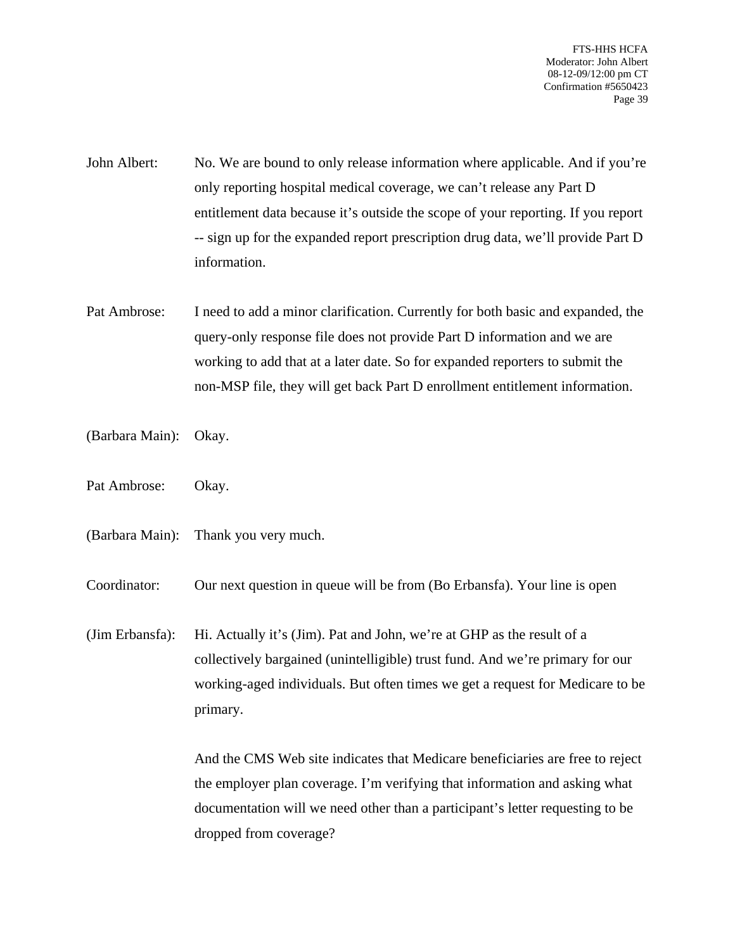- John Albert: No. We are bound to only release information where applicable. And if you're only reporting hospital medical coverage, we can't release any Part D entitlement data because it's outside the scope of your reporting. If you report -- sign up for the expanded report prescription drug data, we'll provide Part D information.
- Pat Ambrose: I need to add a minor clarification. Currently for both basic and expanded, the query-only response file does not provide Part D information and we are working to add that at a later date. So for expanded reporters to submit the non-MSP file, they will get back Part D enrollment entitlement information.
- (Barbara Main): Okay.
- Pat Ambrose: Okay.
- (Barbara Main): Thank you very much.
- Coordinator: Our next question in queue will be from (Bo Erbansfa). Your line is open
- (Jim Erbansfa): Hi. Actually it's (Jim). Pat and John, we're at GHP as the result of a collectively bargained (unintelligible) trust fund. And we're primary for our working-aged individuals. But often times we get a request for Medicare to be primary.

And the CMS Web site indicates that Medicare beneficiaries are free to reject the employer plan coverage. I'm verifying that information and asking what documentation will we need other than a participant's letter requesting to be dropped from coverage?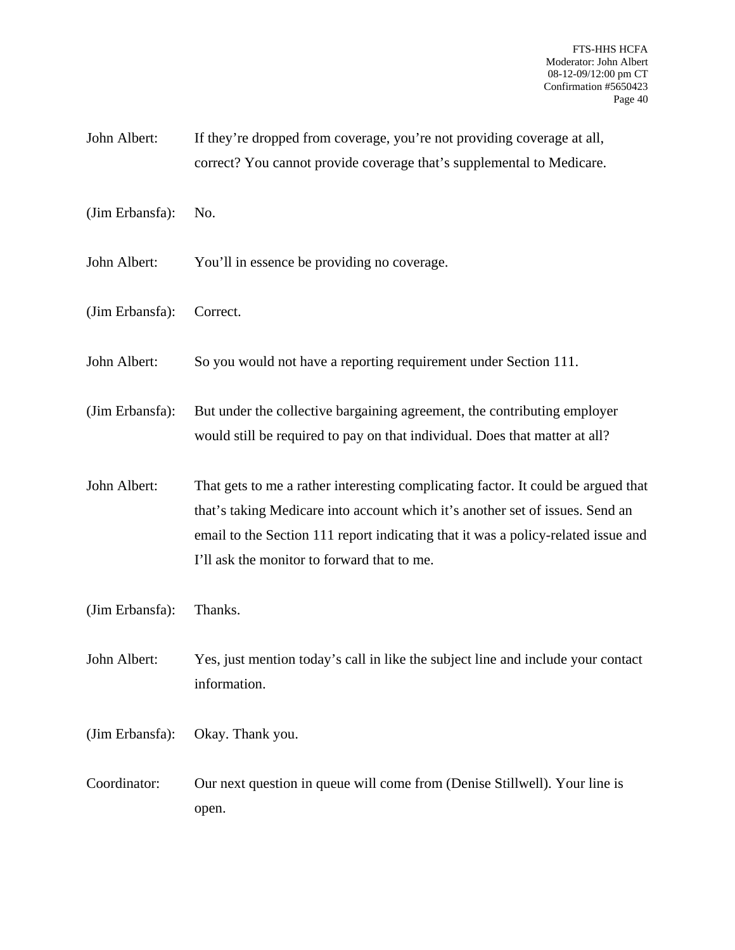- John Albert: If they're dropped from coverage, you're not providing coverage at all, correct? You cannot provide coverage that's supplemental to Medicare.
- (Jim Erbansfa): No.
- John Albert: You'll in essence be providing no coverage.
- (Jim Erbansfa): Correct.
- John Albert: So you would not have a reporting requirement under Section 111.
- (Jim Erbansfa): But under the collective bargaining agreement, the contributing employer would still be required to pay on that individual. Does that matter at all?
- John Albert: That gets to me a rather interesting complicating factor. It could be argued that that's taking Medicare into account which it's another set of issues. Send an email to the Section 111 report indicating that it was a policy-related issue and I'll ask the monitor to forward that to me.
- (Jim Erbansfa): Thanks.
- John Albert: Yes, just mention today's call in like the subject line and include your contact information.
- (Jim Erbansfa): Okay. Thank you.
- Coordinator: Our next question in queue will come from (Denise Stillwell). Your line is open.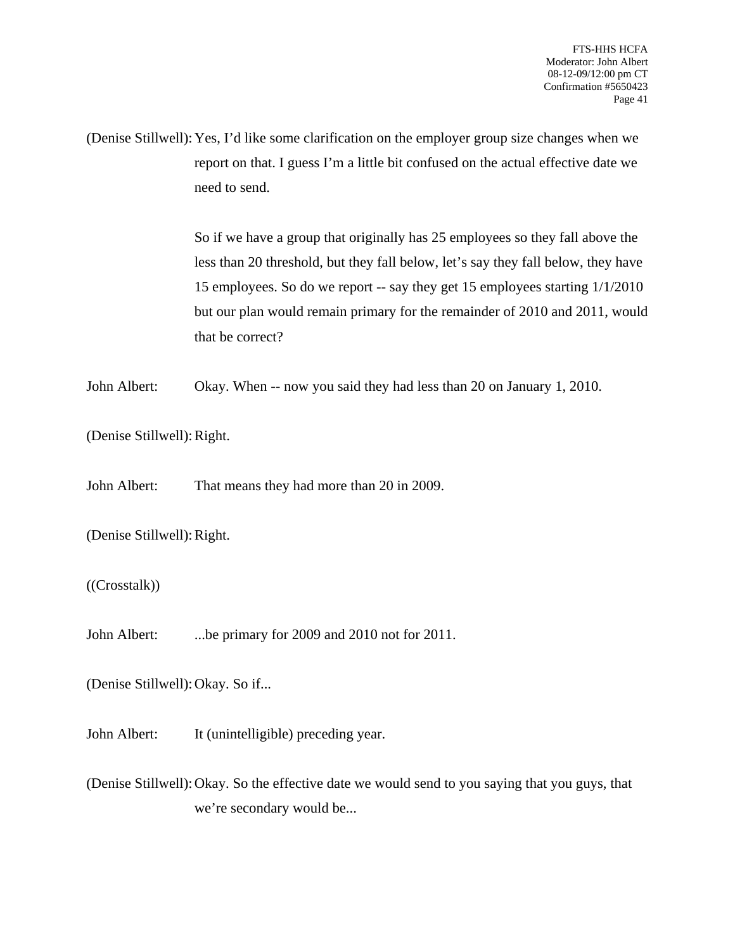(Denise Stillwell): Yes, I'd like some clarification on the employer group size changes when we report on that. I guess I'm a little bit confused on the actual effective date we need to send.

> So if we have a group that originally has 25 employees so they fall above the less than 20 threshold, but they fall below, let's say they fall below, they have 15 employees. So do we report -- say they get 15 employees starting 1/1/2010 but our plan would remain primary for the remainder of 2010 and 2011, would that be correct?

John Albert: Okay. When -- now you said they had less than 20 on January 1, 2010.

(Denise Stillwell): Right.

John Albert: That means they had more than 20 in 2009.

(Denise Stillwell): Right.

((Crosstalk))

John Albert: ...be primary for 2009 and 2010 not for 2011.

(Denise Stillwell): Okay. So if...

John Albert: It (unintelligible) preceding year.

(Denise Stillwell): Okay. So the effective date we would send to you saying that you guys, that we're secondary would be...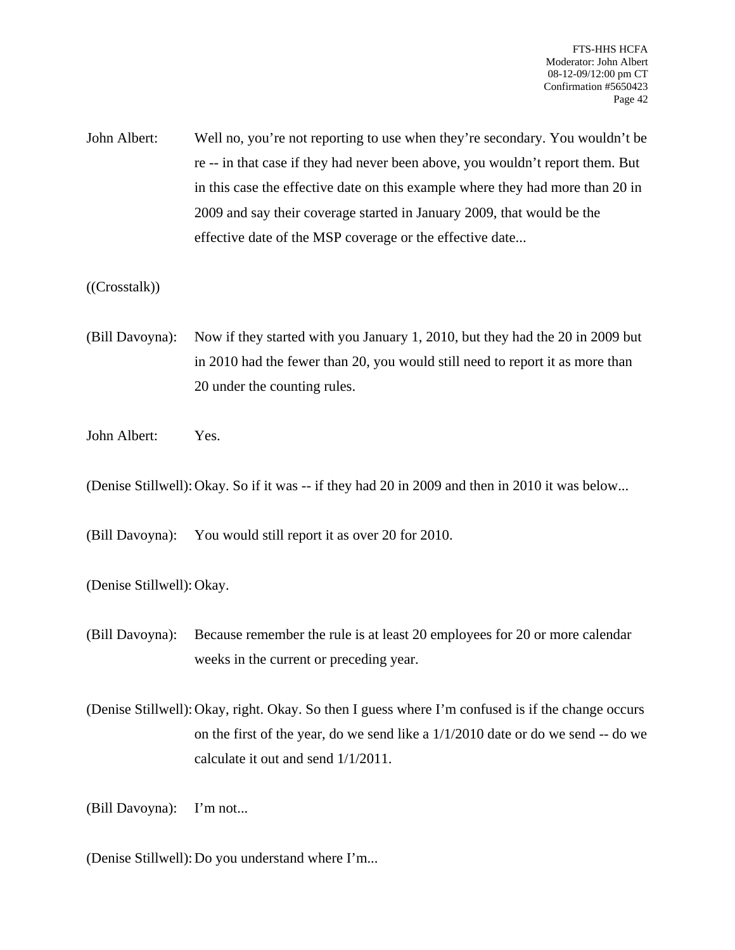John Albert: Well no, you're not reporting to use when they're secondary. You wouldn't be re -- in that case if they had never been above, you wouldn't report them. But in this case the effective date on this example where they had more than 20 in 2009 and say their coverage started in January 2009, that would be the effective date of the MSP coverage or the effective date...

### ((Crosstalk))

- (Bill Davoyna): Now if they started with you January 1, 2010, but they had the 20 in 2009 but in 2010 had the fewer than 20, you would still need to report it as more than 20 under the counting rules.
- John Albert: Yes.

(Denise Stillwell): Okay. So if it was -- if they had 20 in 2009 and then in 2010 it was below...

(Bill Davoyna): You would still report it as over 20 for 2010.

(Denise Stillwell): Okay.

(Bill Davoyna): Because remember the rule is at least 20 employees for 20 or more calendar weeks in the current or preceding year.

(Denise Stillwell): Okay, right. Okay. So then I guess where I'm confused is if the change occurs on the first of the year, do we send like a 1/1/2010 date or do we send -- do we calculate it out and send 1/1/2011.

(Bill Davoyna): I'm not...

(Denise Stillwell): Do you understand where I'm...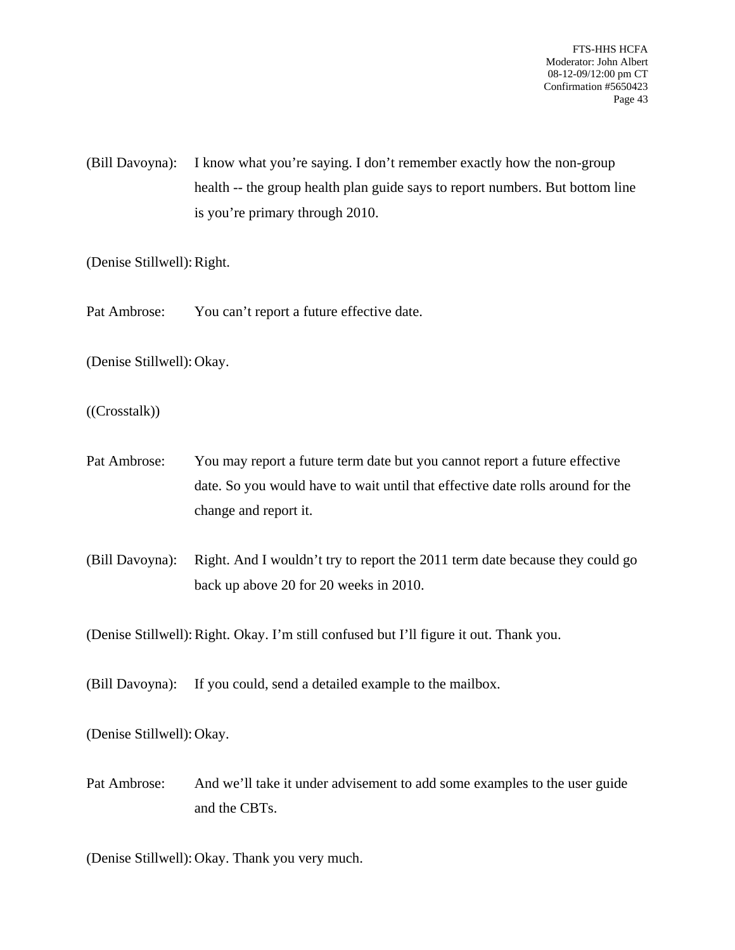(Bill Davoyna): I know what you're saying. I don't remember exactly how the non-group health -- the group health plan guide says to report numbers. But bottom line is you're primary through 2010.

(Denise Stillwell): Right.

Pat Ambrose: You can't report a future effective date.

(Denise Stillwell): Okay.

((Crosstalk))

- Pat Ambrose: You may report a future term date but you cannot report a future effective date. So you would have to wait until that effective date rolls around for the change and report it.
- (Bill Davoyna): Right. And I wouldn't try to report the 2011 term date because they could go back up above 20 for 20 weeks in 2010.

(Denise Stillwell): Right. Okay. I'm still confused but I'll figure it out. Thank you.

(Bill Davoyna): If you could, send a detailed example to the mailbox.

(Denise Stillwell): Okay.

Pat Ambrose: And we'll take it under advisement to add some examples to the user guide and the CBTs.

(Denise Stillwell): Okay. Thank you very much.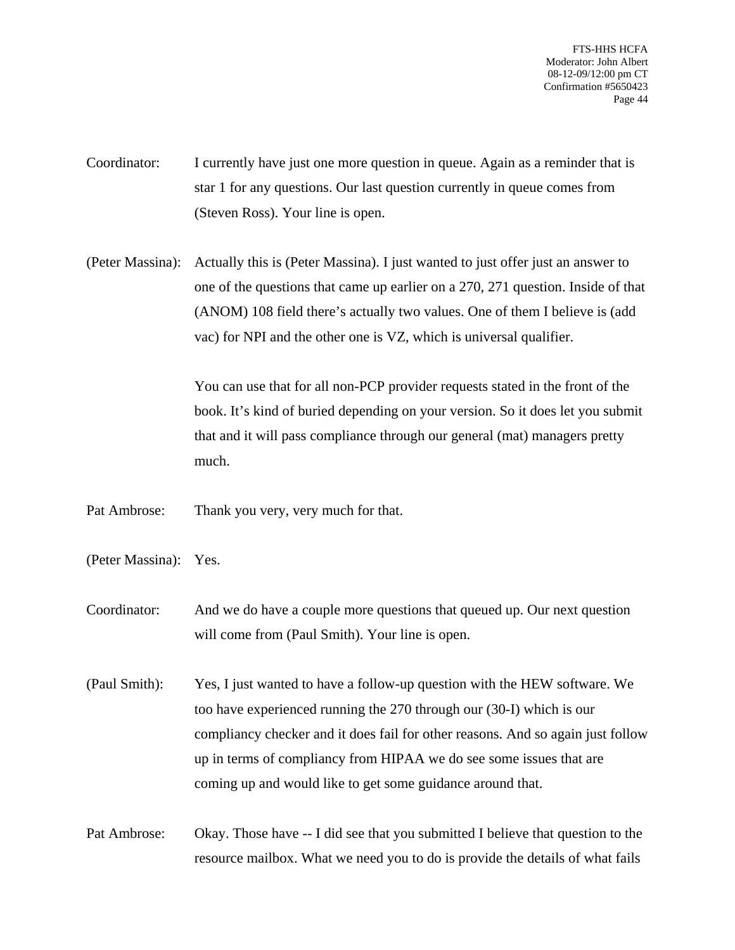- Coordinator: I currently have just one more question in queue. Again as a reminder that is star 1 for any questions. Our last question currently in queue comes from (Steven Ross). Your line is open.
- (Peter Massina): Actually this is (Peter Massina). I just wanted to just offer just an answer to one of the questions that came up earlier on a 270, 271 question. Inside of that (ANOM) 108 field there's actually two values. One of them I believe is (add vac) for NPI and the other one is VZ, which is universal qualifier.

You can use that for all non-PCP provider requests stated in the front of the book. It's kind of buried depending on your version. So it does let you submit that and it will pass compliance through our general (mat) managers pretty much.

- Pat Ambrose: Thank you very, very much for that.
- (Peter Massina): Yes.
- Coordinator: And we do have a couple more questions that queued up. Our next question will come from (Paul Smith). Your line is open.
- (Paul Smith): Yes, I just wanted to have a follow-up question with the HEW software. We too have experienced running the 270 through our (30-I) which is our compliancy checker and it does fail for other reasons. And so again just follow up in terms of compliancy from HIPAA we do see some issues that are coming up and would like to get some guidance around that.
- Pat Ambrose: Okay. Those have -- I did see that you submitted I believe that question to the resource mailbox. What we need you to do is provide the details of what fails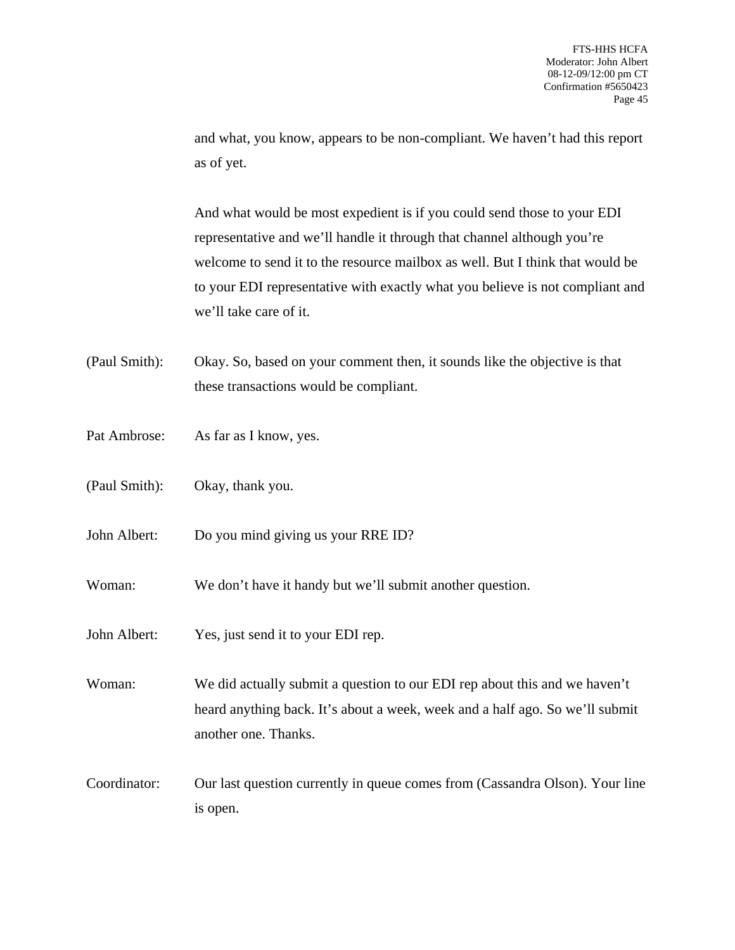and what, you know, appears to be non-compliant. We haven't had this report as of yet.

And what would be most expedient is if you could send those to your EDI representative and we'll handle it through that channel although you're welcome to send it to the resource mailbox as well. But I think that would be to your EDI representative with exactly what you believe is not compliant and we'll take care of it.

- (Paul Smith): Okay. So, based on your comment then, it sounds like the objective is that these transactions would be compliant.
- Pat Ambrose: As far as I know, yes.
- (Paul Smith): Okay, thank you.
- John Albert: Do you mind giving us your RRE ID?
- Woman: We don't have it handy but we'll submit another question.
- John Albert: Yes, just send it to your EDI rep.

Woman: We did actually submit a question to our EDI rep about this and we haven't heard anything back. It's about a week, week and a half ago. So we'll submit another one. Thanks.

Coordinator: Our last question currently in queue comes from (Cassandra Olson). Your line is open.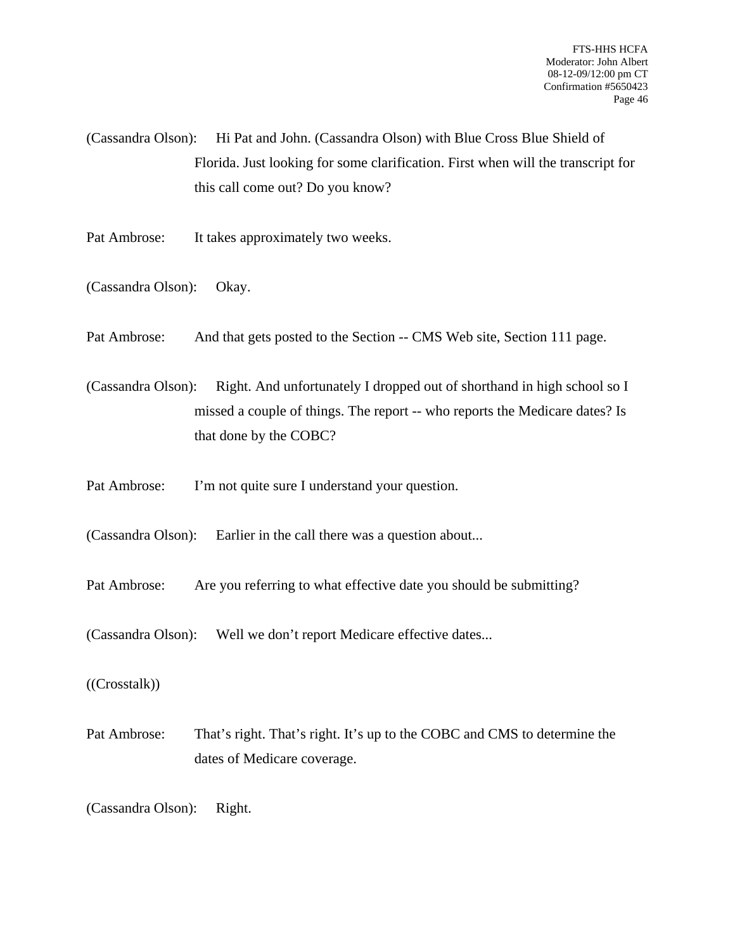(Cassandra Olson): Hi Pat and John. (Cassandra Olson) with Blue Cross Blue Shield of Florida. Just looking for some clarification. First when will the transcript for this call come out? Do you know?

- Pat Ambrose: It takes approximately two weeks.
- (Cassandra Olson): Okay.
- Pat Ambrose: And that gets posted to the Section -- CMS Web site, Section 111 page.

(Cassandra Olson): Right. And unfortunately I dropped out of shorthand in high school so I missed a couple of things. The report -- who reports the Medicare dates? Is that done by the COBC?

- Pat Ambrose: I'm not quite sure I understand your question.
- (Cassandra Olson): Earlier in the call there was a question about...
- Pat Ambrose: Are you referring to what effective date you should be submitting?
- (Cassandra Olson): Well we don't report Medicare effective dates...
- ((Crosstalk))
- Pat Ambrose: That's right. That's right. It's up to the COBC and CMS to determine the dates of Medicare coverage.

(Cassandra Olson): Right.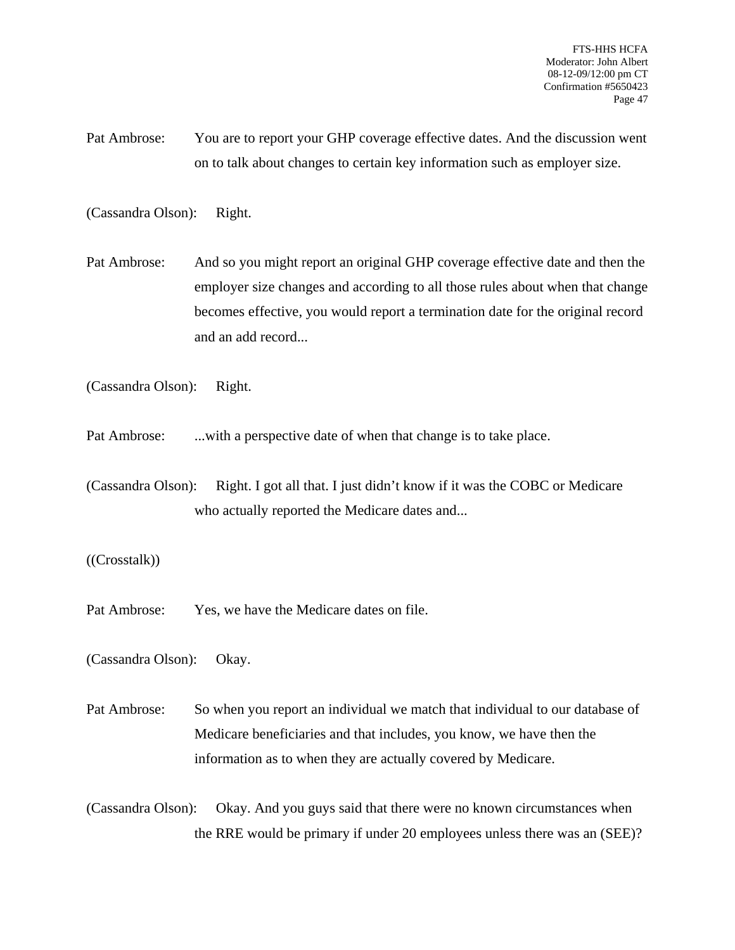Pat Ambrose: You are to report your GHP coverage effective dates. And the discussion went on to talk about changes to certain key information such as employer size.

(Cassandra Olson): Right.

Pat Ambrose: And so you might report an original GHP coverage effective date and then the employer size changes and according to all those rules about when that change becomes effective, you would report a termination date for the original record and an add record...

(Cassandra Olson): Right.

- Pat Ambrose: ...with a perspective date of when that change is to take place.
- (Cassandra Olson): Right. I got all that. I just didn't know if it was the COBC or Medicare who actually reported the Medicare dates and...

((Crosstalk))

Pat Ambrose: Yes, we have the Medicare dates on file.

(Cassandra Olson): Okay.

Pat Ambrose: So when you report an individual we match that individual to our database of Medicare beneficiaries and that includes, you know, we have then the information as to when they are actually covered by Medicare.

(Cassandra Olson): Okay. And you guys said that there were no known circumstances when the RRE would be primary if under 20 employees unless there was an (SEE)?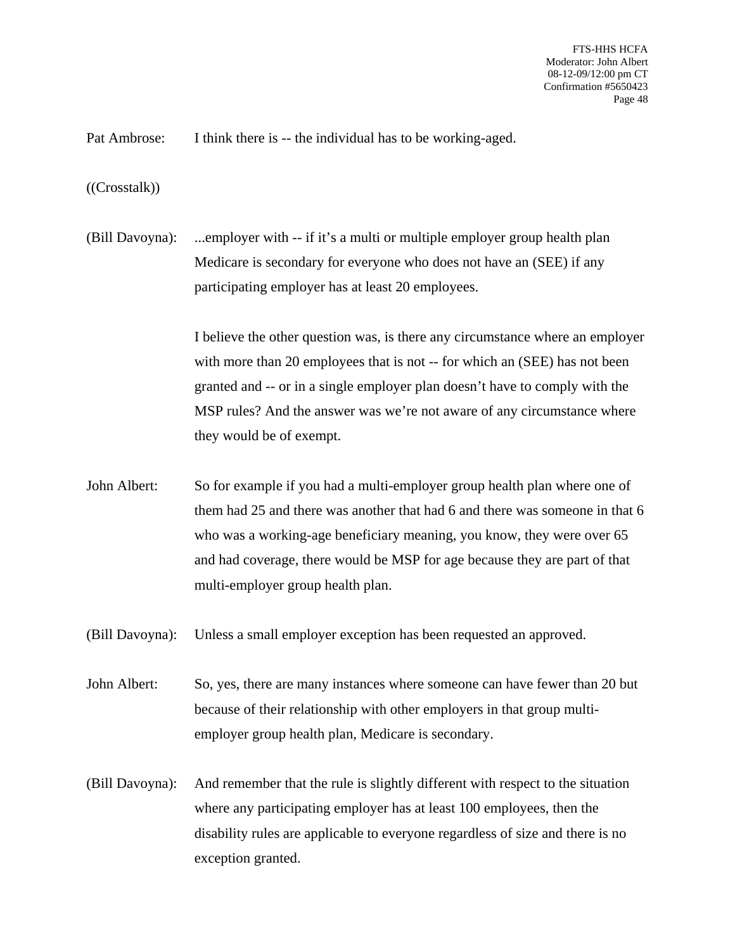Pat Ambrose: I think there is -- the individual has to be working-aged.

((Crosstalk))

(Bill Davoyna): ...employer with -- if it's a multi or multiple employer group health plan Medicare is secondary for everyone who does not have an (SEE) if any participating employer has at least 20 employees.

> I believe the other question was, is there any circumstance where an employer with more than 20 employees that is not -- for which an (SEE) has not been granted and -- or in a single employer plan doesn't have to comply with the MSP rules? And the answer was we're not aware of any circumstance where they would be of exempt.

John Albert: So for example if you had a multi-employer group health plan where one of them had 25 and there was another that had 6 and there was someone in that 6 who was a working-age beneficiary meaning, you know, they were over 65 and had coverage, there would be MSP for age because they are part of that multi-employer group health plan.

(Bill Davoyna): Unless a small employer exception has been requested an approved.

John Albert: So, yes, there are many instances where someone can have fewer than 20 but because of their relationship with other employers in that group multiemployer group health plan, Medicare is secondary.

(Bill Davoyna): And remember that the rule is slightly different with respect to the situation where any participating employer has at least 100 employees, then the disability rules are applicable to everyone regardless of size and there is no exception granted.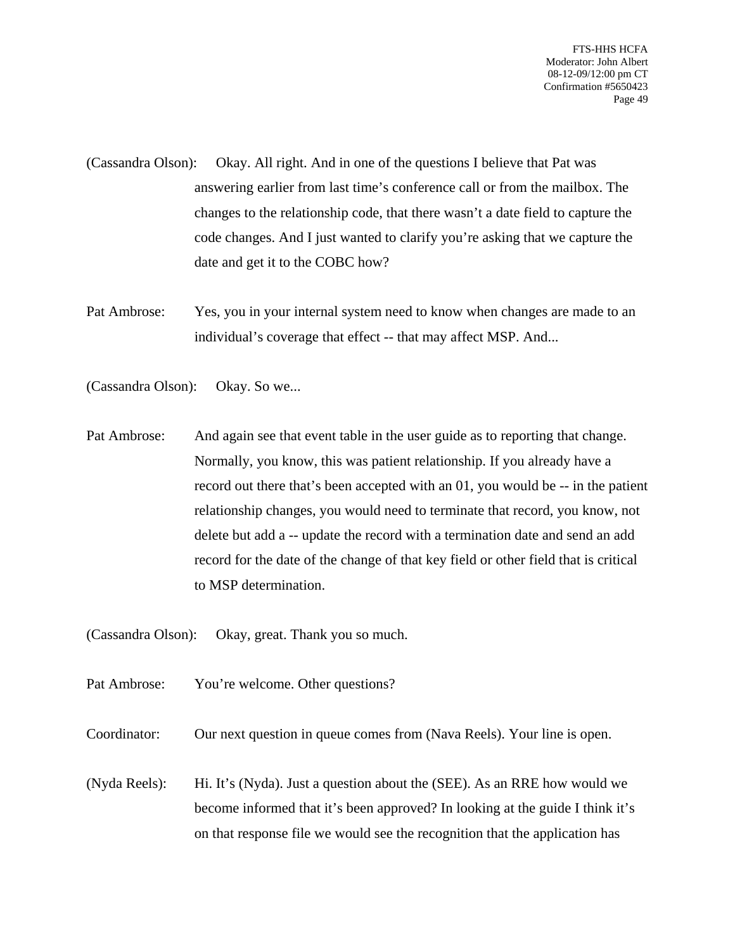- (Cassandra Olson): Okay. All right. And in one of the questions I believe that Pat was answering earlier from last time's conference call or from the mailbox. The changes to the relationship code, that there wasn't a date field to capture the code changes. And I just wanted to clarify you're asking that we capture the date and get it to the COBC how?
- Pat Ambrose: Yes, you in your internal system need to know when changes are made to an individual's coverage that effect -- that may affect MSP. And...
- (Cassandra Olson): Okay. So we...
- Pat Ambrose: And again see that event table in the user guide as to reporting that change. Normally, you know, this was patient relationship. If you already have a record out there that's been accepted with an 01, you would be -- in the patient relationship changes, you would need to terminate that record, you know, not delete but add a -- update the record with a termination date and send an add record for the date of the change of that key field or other field that is critical to MSP determination.
- (Cassandra Olson): Okay, great. Thank you so much.
- Pat Ambrose: You're welcome. Other questions?
- Coordinator: Our next question in queue comes from (Nava Reels). Your line is open.
- (Nyda Reels): Hi. It's (Nyda). Just a question about the (SEE). As an RRE how would we become informed that it's been approved? In looking at the guide I think it's on that response file we would see the recognition that the application has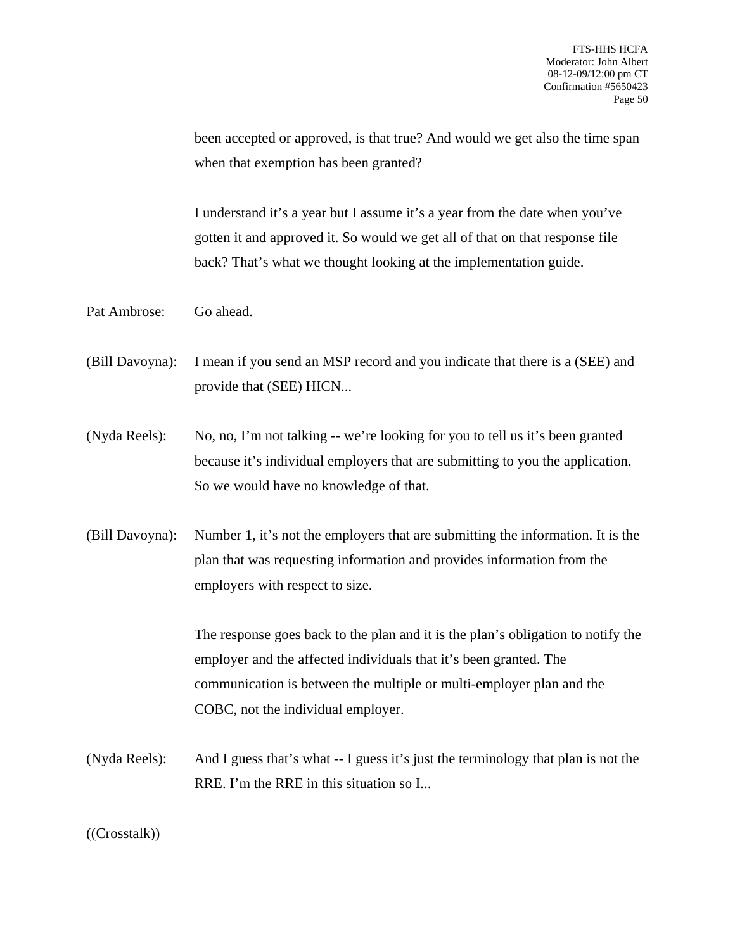been accepted or approved, is that true? And would we get also the time span when that exemption has been granted?

I understand it's a year but I assume it's a year from the date when you've gotten it and approved it. So would we get all of that on that response file back? That's what we thought looking at the implementation guide.

Pat Ambrose: Go ahead.

(Bill Davoyna): I mean if you send an MSP record and you indicate that there is a (SEE) and provide that (SEE) HICN...

(Nyda Reels): No, no, I'm not talking -- we're looking for you to tell us it's been granted because it's individual employers that are submitting to you the application. So we would have no knowledge of that.

(Bill Davoyna): Number 1, it's not the employers that are submitting the information. It is the plan that was requesting information and provides information from the employers with respect to size.

> The response goes back to the plan and it is the plan's obligation to notify the employer and the affected individuals that it's been granted. The communication is between the multiple or multi-employer plan and the COBC, not the individual employer.

(Nyda Reels): And I guess that's what -- I guess it's just the terminology that plan is not the RRE. I'm the RRE in this situation so I...

((Crosstalk))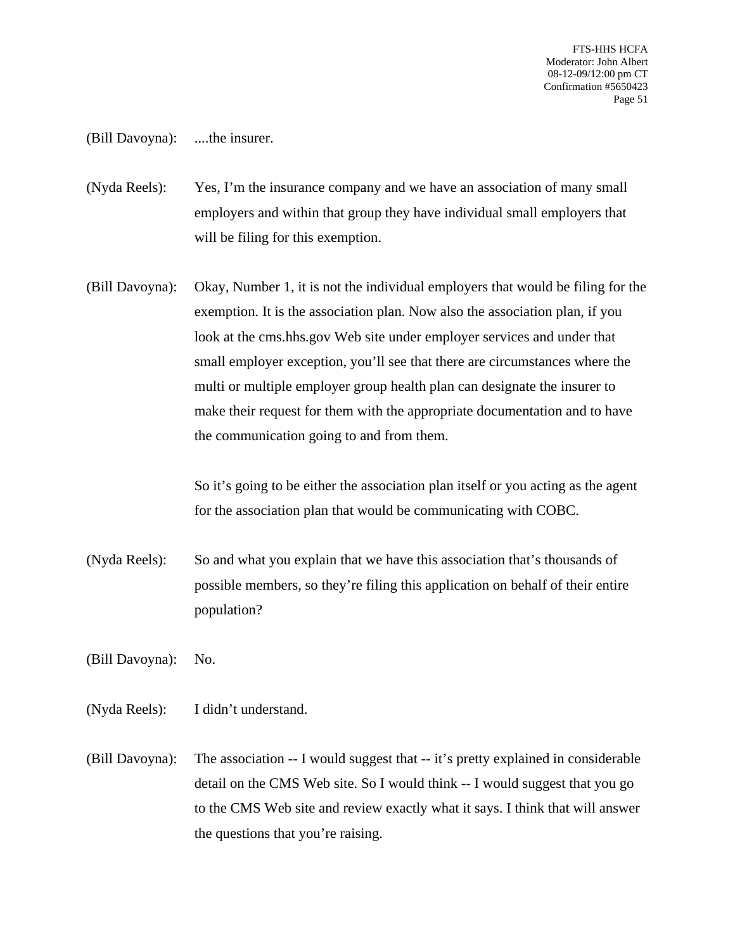(Bill Davoyna): ....the insurer.

(Nyda Reels): Yes, I'm the insurance company and we have an association of many small employers and within that group they have individual small employers that will be filing for this exemption.

(Bill Davoyna): Okay, Number 1, it is not the individual employers that would be filing for the exemption. It is the association plan. Now also the association plan, if you look at the cms.hhs.gov Web site under employer services and under that small employer exception, you'll see that there are circumstances where the multi or multiple employer group health plan can designate the insurer to make their request for them with the appropriate documentation and to have the communication going to and from them.

> So it's going to be either the association plan itself or you acting as the agent for the association plan that would be communicating with COBC.

(Nyda Reels): So and what you explain that we have this association that's thousands of possible members, so they're filing this application on behalf of their entire population?

(Bill Davoyna): No.

- (Nyda Reels): I didn't understand.
- (Bill Davoyna): The association -- I would suggest that -- it's pretty explained in considerable detail on the CMS Web site. So I would think -- I would suggest that you go to the CMS Web site and review exactly what it says. I think that will answer the questions that you're raising.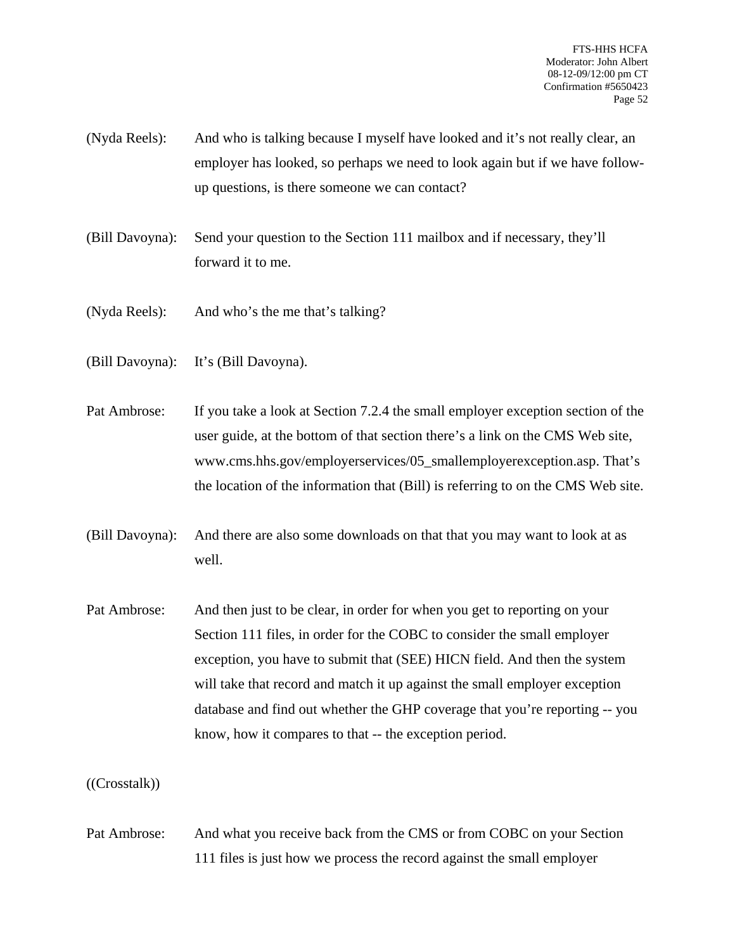- (Nyda Reels): And who is talking because I myself have looked and it's not really clear, an employer has looked, so perhaps we need to look again but if we have followup questions, is there someone we can contact?
- (Bill Davoyna): Send your question to the Section 111 mailbox and if necessary, they'll forward it to me.
- (Nyda Reels): And who's the me that's talking?
- (Bill Davoyna): It's (Bill Davoyna).
- Pat Ambrose: If you take a look at Section 7.2.4 the small employer exception section of the user guide, at the bottom of that section there's a link on the CMS Web site, www.cms.hhs.gov/employerservices/05\_smallemployerexception.asp. That's the location of the information that (Bill) is referring to on the CMS Web site.
- (Bill Davoyna): And there are also some downloads on that that you may want to look at as well.
- Pat Ambrose: And then just to be clear, in order for when you get to reporting on your Section 111 files, in order for the COBC to consider the small employer exception, you have to submit that (SEE) HICN field. And then the system will take that record and match it up against the small employer exception database and find out whether the GHP coverage that you're reporting -- you know, how it compares to that -- the exception period.

((Crosstalk))

Pat Ambrose: And what you receive back from the CMS or from COBC on your Section 111 files is just how we process the record against the small employer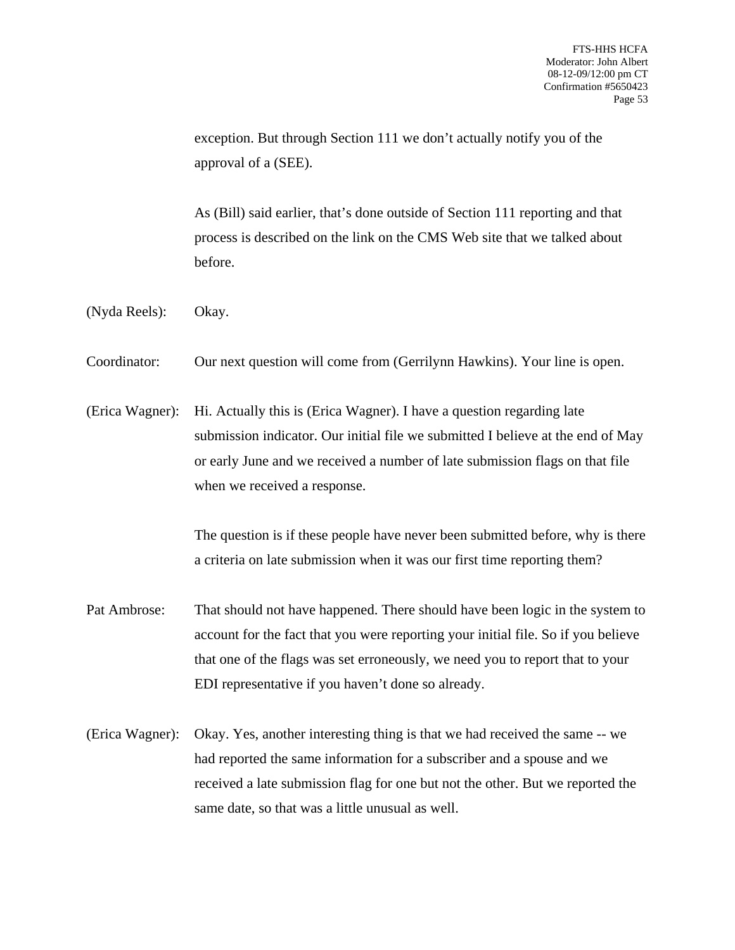exception. But through Section 111 we don't actually notify you of the approval of a (SEE).

As (Bill) said earlier, that's done outside of Section 111 reporting and that process is described on the link on the CMS Web site that we talked about before.

- (Nyda Reels): Okay.
- Coordinator: Our next question will come from (Gerrilynn Hawkins). Your line is open.
- (Erica Wagner): Hi. Actually this is (Erica Wagner). I have a question regarding late submission indicator. Our initial file we submitted I believe at the end of May or early June and we received a number of late submission flags on that file when we received a response.

The question is if these people have never been submitted before, why is there a criteria on late submission when it was our first time reporting them?

- Pat Ambrose: That should not have happened. There should have been logic in the system to account for the fact that you were reporting your initial file. So if you believe that one of the flags was set erroneously, we need you to report that to your EDI representative if you haven't done so already.
- (Erica Wagner): Okay. Yes, another interesting thing is that we had received the same -- we had reported the same information for a subscriber and a spouse and we received a late submission flag for one but not the other. But we reported the same date, so that was a little unusual as well.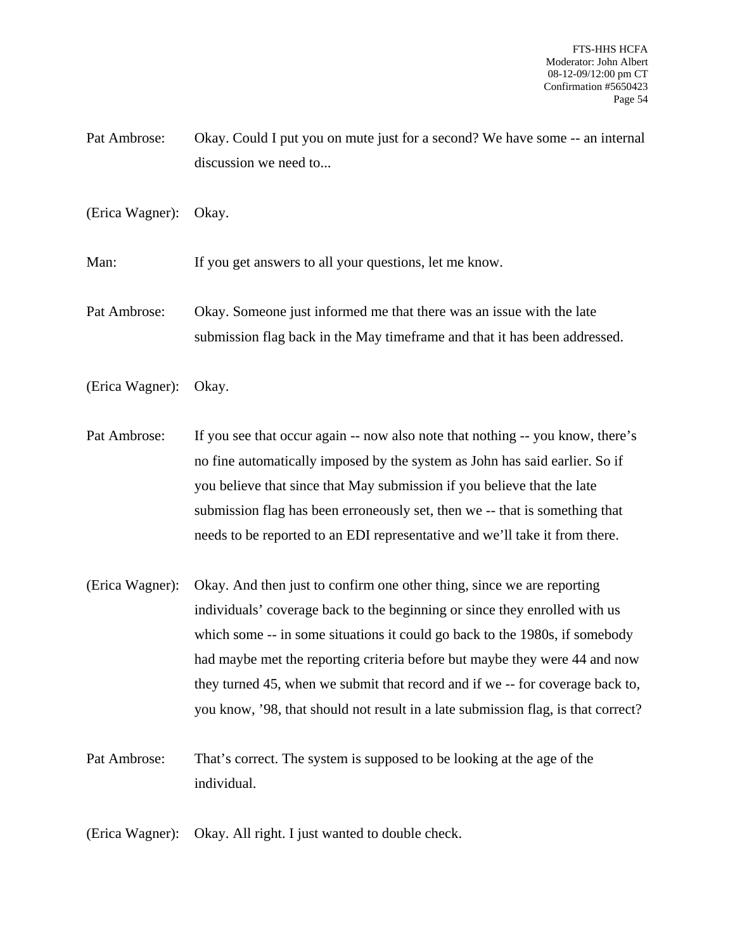Pat Ambrose: Okay. Could I put you on mute just for a second? We have some -- an internal discussion we need to...

(Erica Wagner): Okay.

Man: If you get answers to all your questions, let me know.

Pat Ambrose: Okay. Someone just informed me that there was an issue with the late submission flag back in the May timeframe and that it has been addressed.

(Erica Wagner): Okay.

Pat Ambrose: If you see that occur again -- now also note that nothing -- you know, there's no fine automatically imposed by the system as John has said earlier. So if you believe that since that May submission if you believe that the late submission flag has been erroneously set, then we -- that is something that needs to be reported to an EDI representative and we'll take it from there.

(Erica Wagner): Okay. And then just to confirm one other thing, since we are reporting individuals' coverage back to the beginning or since they enrolled with us which some -- in some situations it could go back to the 1980s, if somebody had maybe met the reporting criteria before but maybe they were 44 and now they turned 45, when we submit that record and if we -- for coverage back to, you know, '98, that should not result in a late submission flag, is that correct?

Pat Ambrose: That's correct. The system is supposed to be looking at the age of the individual.

(Erica Wagner): Okay. All right. I just wanted to double check.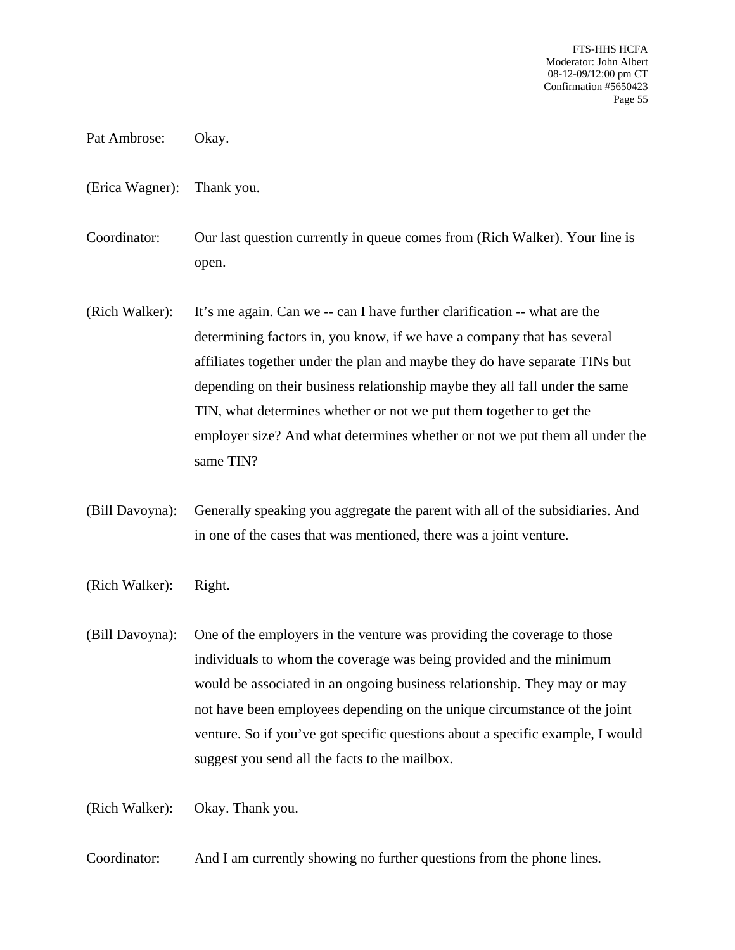- Pat Ambrose: Okay.
- (Erica Wagner): Thank you.
- Coordinator: Our last question currently in queue comes from (Rich Walker). Your line is open.
- (Rich Walker): It's me again. Can we -- can I have further clarification -- what are the determining factors in, you know, if we have a company that has several affiliates together under the plan and maybe they do have separate TINs but depending on their business relationship maybe they all fall under the same TIN, what determines whether or not we put them together to get the employer size? And what determines whether or not we put them all under the same TIN?
- (Bill Davoyna): Generally speaking you aggregate the parent with all of the subsidiaries. And in one of the cases that was mentioned, there was a joint venture.
- (Rich Walker): Right.
- (Bill Davoyna): One of the employers in the venture was providing the coverage to those individuals to whom the coverage was being provided and the minimum would be associated in an ongoing business relationship. They may or may not have been employees depending on the unique circumstance of the joint venture. So if you've got specific questions about a specific example, I would suggest you send all the facts to the mailbox.

(Rich Walker): Okay. Thank you.

Coordinator: And I am currently showing no further questions from the phone lines.